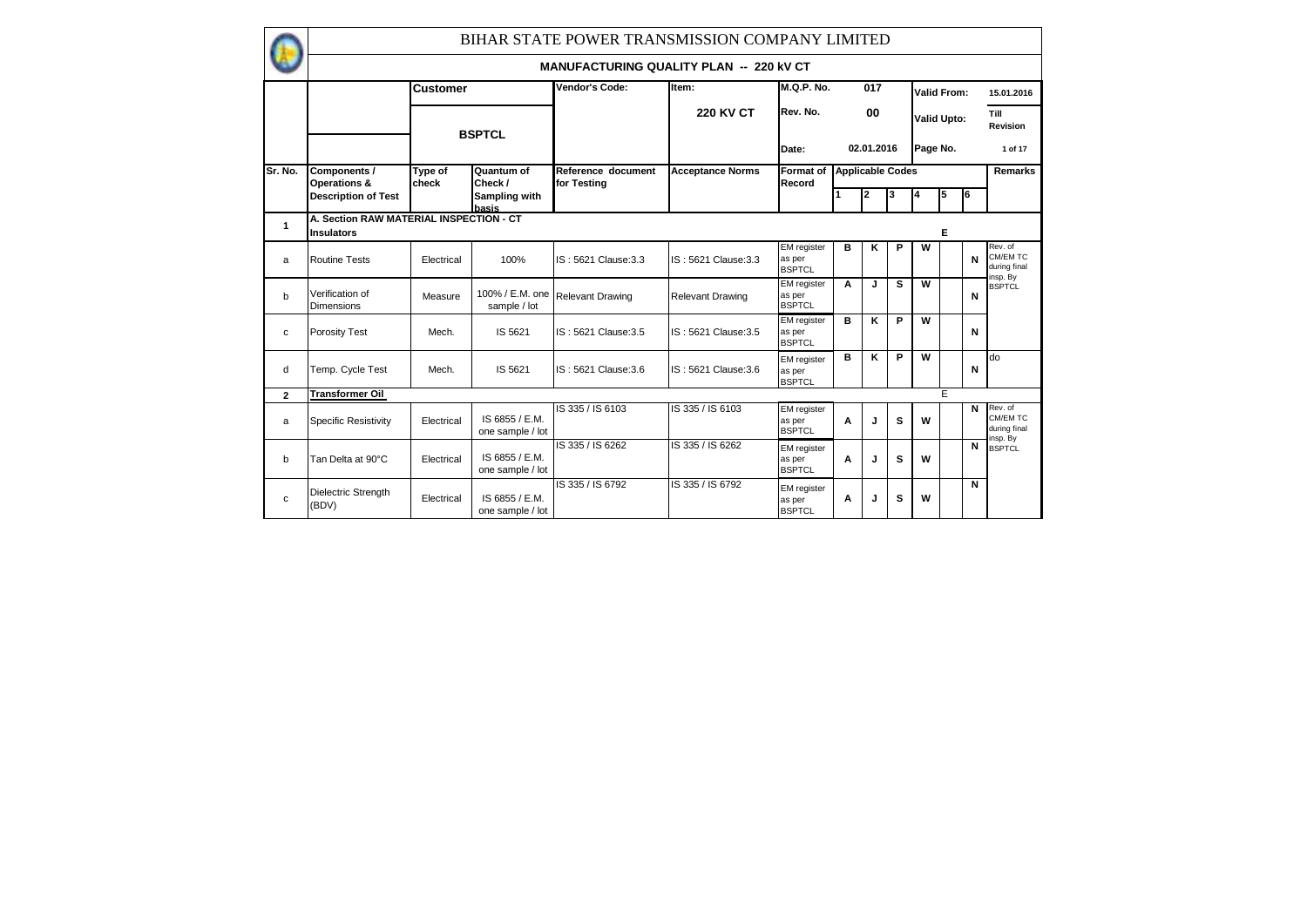|                |                                                              |                  |                                    | BIHAR STATE POWER TRANSMISSION COMPANY LIMITED |                         |                                               |   |            |                         |                         |                    |    |                                     |
|----------------|--------------------------------------------------------------|------------------|------------------------------------|------------------------------------------------|-------------------------|-----------------------------------------------|---|------------|-------------------------|-------------------------|--------------------|----|-------------------------------------|
|                |                                                              |                  |                                    | <b>MANUFACTURING QUALITY PLAN -- 220 KV CT</b> |                         |                                               |   |            |                         |                         |                    |    |                                     |
|                |                                                              | <b>Customer</b>  |                                    | Vendor's Code:                                 | Item:                   | M.Q.P. No.                                    |   | 017        |                         |                         | Valid From:        |    | 15.01.2016                          |
|                |                                                              |                  | <b>BSPTCL</b>                      |                                                | <b>220 KV CT</b>        | Rev. No.                                      |   | 00         |                         |                         | <b>Valid Upto:</b> |    | Till<br>Revision                    |
|                |                                                              |                  |                                    |                                                |                         | Date:                                         |   | 02.01.2016 |                         | Page No.                |                    |    | 1 of 17                             |
| <b>Sr. No.</b> | Components /<br>Operations &                                 | Type of<br>check | Quantum of<br>Check /              | Reference document<br>for Testing              | <b>Acceptance Norms</b> | <b>Format of</b><br>Record                    |   |            | <b>Applicable Codes</b> |                         |                    |    | <b>Remarks</b>                      |
|                | <b>Description of Test</b>                                   |                  | Sampling with<br>basis             |                                                |                         |                                               |   | 2          | 3                       | 14                      | 5                  | l6 |                                     |
| 1              | A. Section RAW MATERIAL INSPECTION - CT<br><b>Insulators</b> |                  |                                    |                                                |                         |                                               |   |            |                         |                         | Е                  |    |                                     |
| a              | <b>Routine Tests</b>                                         | Electrical       | 100%                               | IS: 5621 Clause: 3.3                           | IS: 5621 Clause: 3.3    | <b>EM</b> register<br>as per<br><b>BSPTCL</b> | в | κ          | P                       | W                       |                    | N  | Rev. of<br>CM/EM TC<br>during final |
| b              | Verification of<br><b>Dimensions</b>                         | Measure          | sample / lot                       | 100% / E.M. one Relevant Drawing               | <b>Relevant Drawing</b> | <b>EM</b> register<br>as per<br><b>BSPTCL</b> | A | J          | s                       | W                       |                    | N  | insp. By<br><b>BSPTCL</b>           |
| C              | Porosity Test                                                | Mech.            | IS 5621                            | IS: 5621 Clause: 3.5                           | IS: 5621 Clause: 3.5    | <b>EM</b> register<br>as per<br><b>BSPTCL</b> | в | Κ          | P                       | $\overline{\mathsf{w}}$ |                    | N  |                                     |
| d              | Temp. Cycle Test                                             | Mech.            | IS 5621                            | IS: 5621 Clause: 3.6                           | IS: 5621 Clause: 3.6    | <b>EM</b> register<br>as per<br><b>BSPTCL</b> | в | Κ          | P                       | W                       |                    | N  | do                                  |
| $\mathbf{2}$   | <b>Transformer Oil</b>                                       |                  |                                    |                                                |                         |                                               |   |            |                         |                         | E                  |    |                                     |
| a              | <b>Specific Resistivity</b>                                  | Electrical       | IS 6855 / E.M.<br>one sample / lot | IS 335 / IS 6103                               | IS 335 / IS 6103        | EM register<br>as per<br><b>BSPTCL</b>        | A | J          | s                       | W                       |                    | N  | Rev. of<br>CM/EM TC<br>during final |
| b              | Tan Delta at 90°C                                            | Electrical       | IS 6855 / E.M.<br>one sample / lot | IS 335 / IS 6262                               | IS 335 / IS 6262        | <b>EM</b> register<br>as per<br><b>BSPTCL</b> | A | J          | s                       | W                       |                    | N  | nsp. By<br><b>BSPTCL</b>            |
| C              | Dielectric Strength<br>(BDV)                                 | Electrical       | IS 6855 / E.M.<br>one sample / lot | IS 335 / IS 6792                               | IS 335 / IS 6792        | EM register<br>as per<br><b>BSPTCL</b>        | A | J          | s                       | w                       |                    | N  |                                     |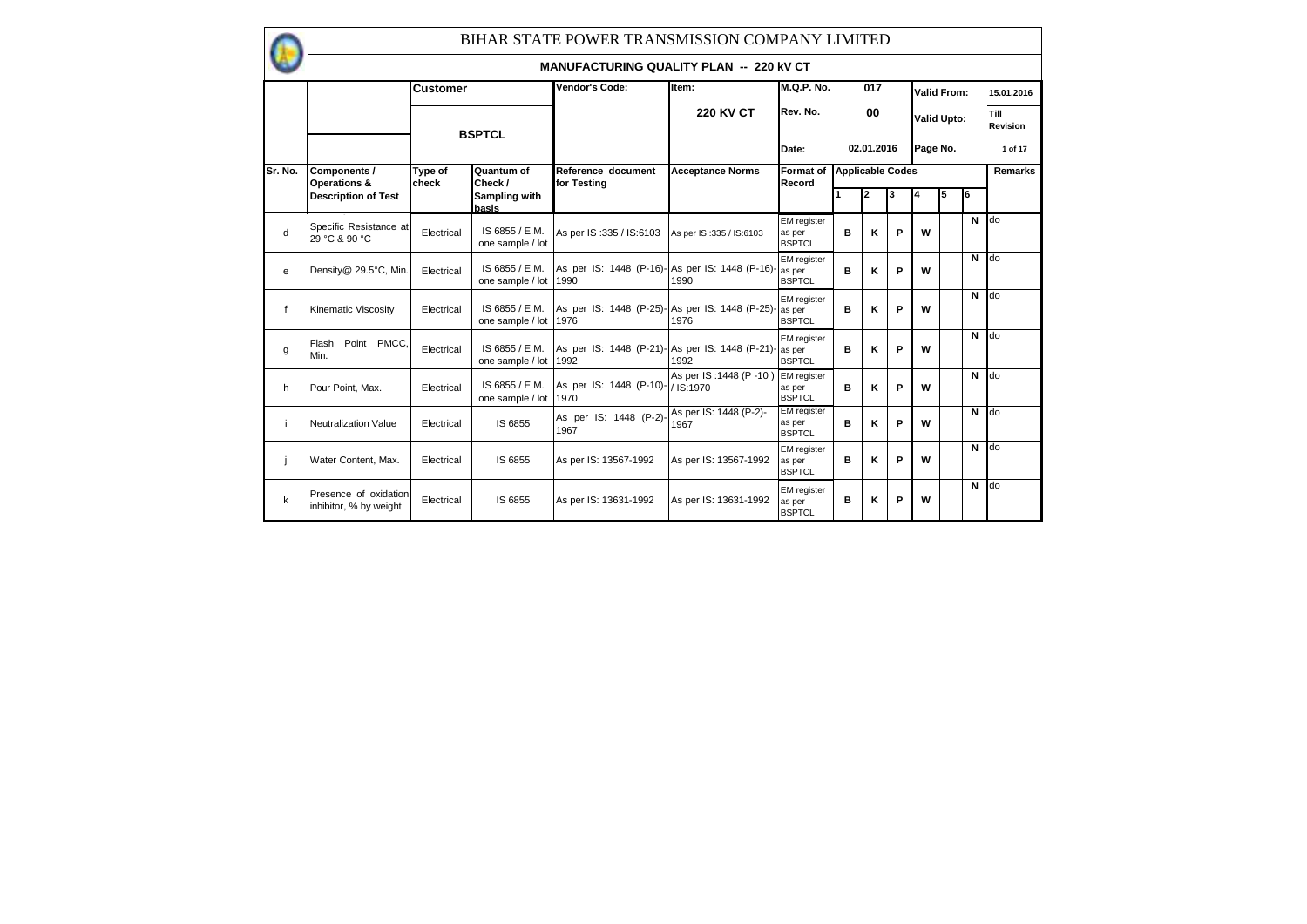|              |                                                 |                  |                                         | BIHAR STATE POWER TRANSMISSION COMPANY LIMITED         |                                    |                                               |                         |            |   |                    |   |        |                         |
|--------------|-------------------------------------------------|------------------|-----------------------------------------|--------------------------------------------------------|------------------------------------|-----------------------------------------------|-------------------------|------------|---|--------------------|---|--------|-------------------------|
|              |                                                 |                  |                                         | <b>MANUFACTURING QUALITY PLAN -- 220 KV CT</b>         |                                    |                                               |                         |            |   |                    |   |        |                         |
|              |                                                 | <b>Customer</b>  |                                         | Vendor's Code:                                         | Item:                              | <b>M.Q.P. No.</b>                             |                         | 017        |   | Valid From:        |   |        | 15.01.2016              |
|              |                                                 |                  | <b>BSPTCL</b>                           |                                                        | <b>220 KV CT</b>                   | Rev. No.                                      |                         | 00         |   | <b>Valid Upto:</b> |   |        | Till<br><b>Revision</b> |
|              |                                                 |                  |                                         |                                                        |                                    | Date:                                         |                         | 02.01.2016 |   | Page No.           |   |        | 1 of 17                 |
| Sr. No.      | Components /<br>Operations &                    | Type of<br>check | Quantum of<br>Check /                   | Reference document<br>for Testing                      | <b>Acceptance Norms</b>            | <b>Format of</b><br>Record                    | <b>Applicable Codes</b> |            |   |                    |   |        | Remarks                 |
|              | <b>Description of Test</b>                      |                  | Sampling with<br>basis                  |                                                        |                                    |                                               |                         | 2          | 3 | 4                  | 5 | l6     |                         |
| d            | Specific Resistance at<br>29 °C & 90 °C         | Electrical       | IS 6855 / E.M.<br>one sample / lot      | As per IS: 335 / IS: 6103                              | As per IS: 335 / IS: 6103          | <b>EM</b> register<br>as per<br><b>BSPTCL</b> | в                       | ĸ          | P | W                  |   | $N$ do |                         |
| e            | Density@ 29.5°C, Min.                           | Electrical       | IS 6855 / E.M.<br>one sample / lot 1990 | As per IS: 1448 (P-16)- As per IS: 1448 (P-16)- as per | 1990                               | EM register<br><b>BSPTCL</b>                  | в                       | K          | P | W                  |   | N      | do                      |
| $\mathsf{f}$ | <b>Kinematic Viscosity</b>                      | Electrical       | IS 6855 / E.M.<br>one sample / lot 1976 | As per IS: 1448 (P-25)- As per IS: 1448 (P-25)- as per | 1976                               | <b>EM</b> reaister<br><b>BSPTCL</b>           | в                       | ĸ          | P | W                  |   | $N$ do |                         |
| g            | Flash<br>Point PMCC.<br>Min.                    | Electrical       | IS 6855 / E.M.<br>one sample / lot 1992 | As per IS: 1448 (P-21)- As per IS: 1448 (P-21)- as per | 1992                               | <b>EM</b> register<br><b>BSPTCL</b>           | в                       | ĸ          | P | W                  |   | $N$ do |                         |
| h            | Pour Point, Max.                                | Electrical       | IS 6855 / E.M.<br>one sample / lot 1970 | As per IS: 1448 (P-10)-                                | As per IS: 1448 (P-10)<br>/IS:1970 | <b>EM</b> register<br>as per<br><b>BSPTCL</b> | B                       | K          | P | w                  |   | N      | <b>do</b>               |
| j            | <b>Neutralization Value</b>                     | Electrical       | IS 6855                                 | As per IS: 1448 (P-2)-<br>1967                         | As per IS: 1448 (P-2)-<br>1967     | <b>EM</b> register<br>as per<br><b>BSPTCL</b> | в                       | K          | P | W                  |   | N      | do                      |
| j            | Water Content, Max.                             | Electrical       | IS 6855                                 | As per IS: 13567-1992                                  | As per IS: 13567-1992              | <b>EM</b> register<br>as per<br><b>BSPTCL</b> | B                       | ĸ          | P | W                  |   | N      | <b>do</b>               |
| $\mathsf k$  | Presence of oxidation<br>inhibitor, % by weight | Electrical       | IS 6855                                 | As per IS: 13631-1992                                  | As per IS: 13631-1992              | <b>EM</b> register<br>as per<br><b>BSPTCL</b> | B                       | K          | P | W                  |   | N      | do                      |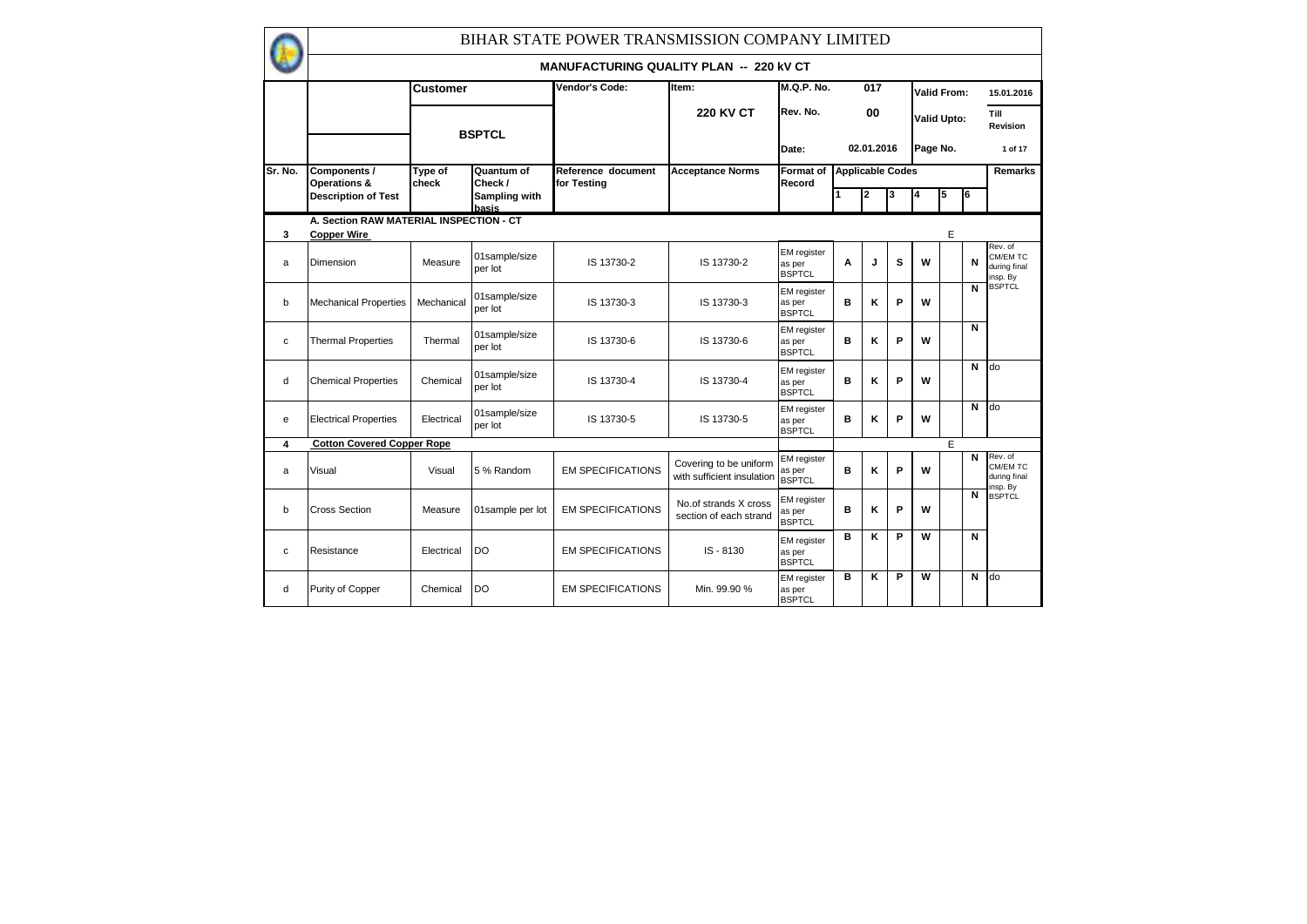|         |                                                               |                  |                          | BIHAR STATE POWER TRANSMISSION COMPANY LIMITED |                                                      |                                               |                         |            |   |          |                    |    |                                                 |
|---------|---------------------------------------------------------------|------------------|--------------------------|------------------------------------------------|------------------------------------------------------|-----------------------------------------------|-------------------------|------------|---|----------|--------------------|----|-------------------------------------------------|
|         |                                                               |                  |                          | <b>MANUFACTURING QUALITY PLAN -- 220 KV CT</b> |                                                      |                                               |                         |            |   |          |                    |    |                                                 |
|         |                                                               | Customer         |                          | Vendor's Code:                                 | Item:                                                | M.Q.P. No.                                    |                         | 017        |   |          | Valid From:        |    | 15.01.2016                                      |
|         |                                                               |                  | <b>BSPTCL</b>            |                                                | <b>220 KV CT</b>                                     | Rev. No.                                      |                         | 00         |   |          | <b>Valid Upto:</b> |    | Till<br>Revision                                |
|         |                                                               |                  |                          |                                                |                                                      | Date:                                         |                         | 02.01.2016 |   | Page No. |                    |    | 1 of 17                                         |
| Sr. No. | Components /<br>Operations &                                  | Type of<br>check | Quantum of<br>Check /    | Reference document<br>for Testing              | <b>Acceptance Norms</b>                              | Format of<br>Record                           | <b>Applicable Codes</b> |            |   |          |                    |    | Remarks                                         |
|         | <b>Description of Test</b>                                    |                  | Sampling with<br>hasis   |                                                |                                                      |                                               |                         | 2          | 3 | 4        | 5                  | l6 |                                                 |
| 3       | A. Section RAW MATERIAL INSPECTION - CT<br><b>Copper Wire</b> |                  |                          |                                                |                                                      |                                               |                         |            |   |          | E                  |    |                                                 |
| a       | Dimension                                                     | Measure          | 01sample/size<br>per lot | IS 13730-2                                     | IS 13730-2                                           | EM register<br>as per<br><b>BSPTCL</b>        | A                       | J          | s | W        |                    | N  | Rev. of<br>CM/EM TC<br>during final<br>insp. By |
| b       | <b>Mechanical Properties</b>                                  | Mechanical       | 01sample/size<br>per lot | IS 13730-3                                     | IS 13730-3                                           | <b>EM</b> register<br>as per<br><b>BSPTCL</b> | B                       | ĸ          | P | W        |                    | N  | <b>BSPTCL</b>                                   |
| c       | <b>Thermal Properties</b>                                     | Thermal          | 01sample/size<br>per lot | IS 13730-6                                     | IS 13730-6                                           | EM register<br>as per<br><b>BSPTCL</b>        | B                       | κ          | P | W        |                    | N  |                                                 |
| d       | <b>Chemical Properties</b>                                    | Chemical         | 01sample/size<br>per lot | IS 13730-4                                     | IS 13730-4                                           | EM register<br>as per<br><b>BSPTCL</b>        | B                       | ĸ          | P | W        |                    | N  | do                                              |
| е       | <b>Electrical Properties</b>                                  | Electrical       | 01sample/size<br>per lot | IS 13730-5                                     | IS 13730-5                                           | <b>EM</b> register<br>as per<br><b>BSPTCL</b> | B                       | κ          | P | W        |                    | N  | do                                              |
| 4       | <b>Cotton Covered Copper Rope</b>                             |                  |                          |                                                |                                                      |                                               |                         |            |   |          | E                  |    |                                                 |
| a       | Visual                                                        | Visual           | 5 % Random               | <b>EM SPECIFICATIONS</b>                       | Covering to be uniform<br>with sufficient insulation | <b>EM</b> register<br>as per<br><b>BSPTCL</b> | в                       | κ          | P | W        |                    | N  | Rev. of<br>CM/EM TC<br>during final<br>nsp. By  |
| b       | <b>Cross Section</b>                                          | Measure          | 01sample per lot         | <b>EM SPECIFICATIONS</b>                       | No.of strands X cross<br>section of each strand      | EM register<br>as per<br><b>BSPTCL</b>        | B                       | κ          | P | W        |                    | N  | <b>BSPTCL</b>                                   |
| c       | Resistance                                                    | Electrical       | DO                       | <b>EM SPECIFICATIONS</b>                       | IS-8130                                              | EM register<br>as per<br><b>BSPTCL</b>        | B                       | ĸ          | P | W        |                    | N  |                                                 |
| d       | Purity of Copper                                              | Chemical         | DO                       | <b>EM SPECIFICATIONS</b>                       | Min. 99.90 %                                         | <b>EM</b> register<br>as per<br><b>BSPTCL</b> | в                       | ĸ          | P | W        |                    | N  | do                                              |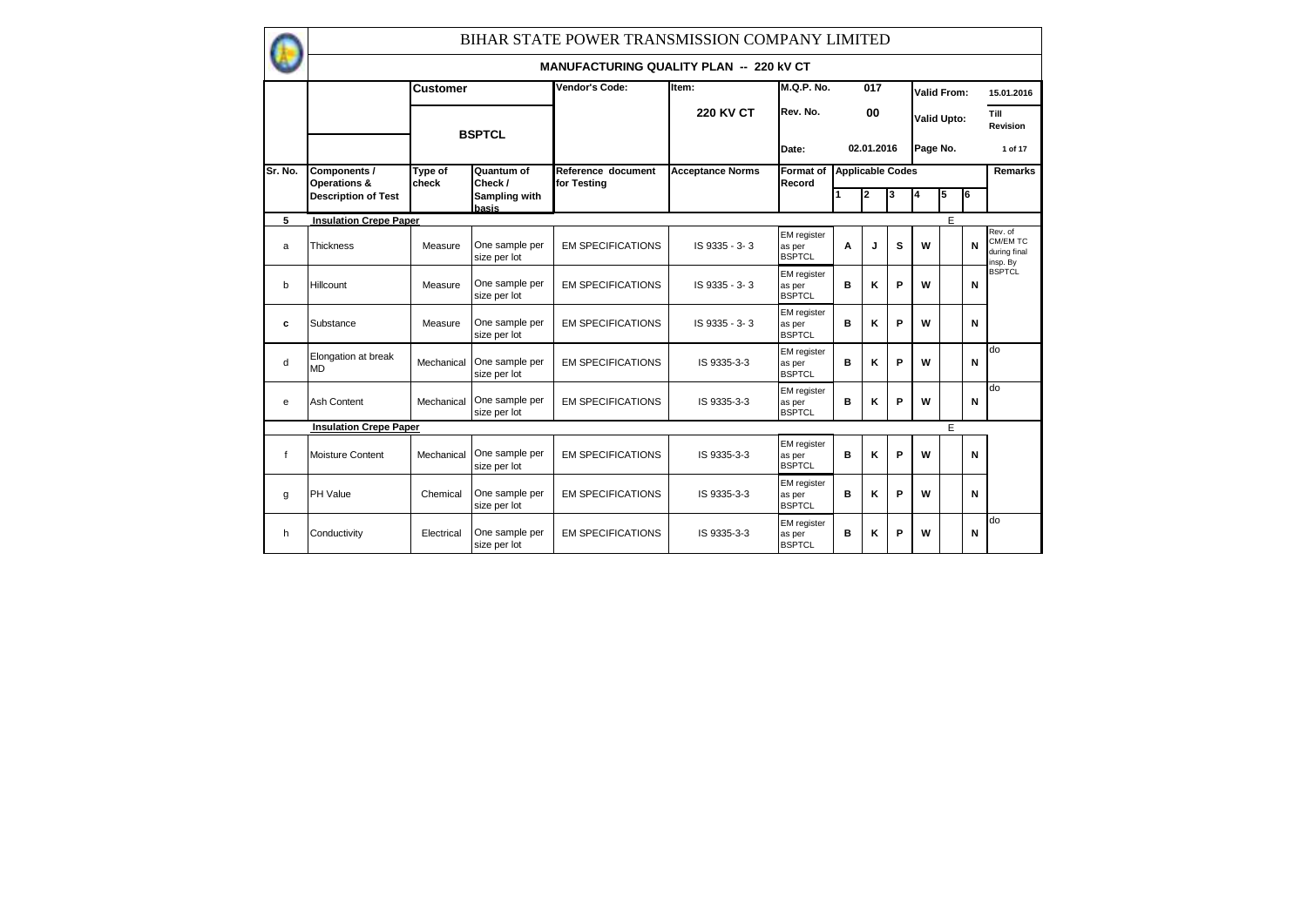|             |                                  |                  |                                | BIHAR STATE POWER TRANSMISSION COMPANY LIMITED |                         |                                               |                         |            |   |          |                    |    |                                                 |
|-------------|----------------------------------|------------------|--------------------------------|------------------------------------------------|-------------------------|-----------------------------------------------|-------------------------|------------|---|----------|--------------------|----|-------------------------------------------------|
|             |                                  |                  |                                | <b>MANUFACTURING QUALITY PLAN -- 220 KV CT</b> |                         |                                               |                         |            |   |          |                    |    |                                                 |
|             |                                  | <b>Customer</b>  |                                | Vendor's Code:                                 | Item:                   | <b>M.Q.P. No.</b>                             |                         | 017        |   |          | Valid From:        |    | 15.01.2016                                      |
|             |                                  |                  | <b>BSPTCL</b>                  |                                                | <b>220 KV CT</b>        | Rev. No.                                      |                         | 00         |   |          | <b>Valid Upto:</b> |    | Till<br>Revision                                |
|             |                                  |                  |                                |                                                |                         | Date:                                         |                         | 02.01.2016 |   | Page No. |                    |    | 1 of 17                                         |
| Sr. No.     | Components /<br>Operations &     | Type of<br>check | Quantum of<br>Check /          | Reference document<br>for Testina              | <b>Acceptance Norms</b> | Format of<br>Record                           | <b>Applicable Codes</b> |            |   |          |                    |    | Remarks                                         |
|             | <b>Description of Test</b>       |                  | Sampling with<br>basis         |                                                |                         |                                               |                         | 2          | 3 | 4        | 5                  | I6 |                                                 |
| 5           | <b>Insulation Crepe Paper</b>    |                  |                                |                                                |                         |                                               |                         |            |   |          | E                  |    |                                                 |
| a           | <b>Thickness</b>                 | Measure          | One sample per<br>size per lot | <b>EM SPECIFICATIONS</b>                       | IS 9335 - 3-3           | <b>EM</b> register<br>as per<br><b>BSPTCL</b> | A                       | J          | s | W        |                    | N  | Rev. of<br>CM/EM TC<br>during final<br>insp. By |
| b           | Hillcount                        | Measure          | One sample per<br>size per lot | <b>EM SPECIFICATIONS</b>                       | IS 9335 - 3-3           | <b>EM</b> register<br>as per<br><b>BSPTCL</b> | в                       | ĸ          | P | W        |                    | N  | <b>BSPTCL</b>                                   |
| c           | Substance                        | Measure          | One sample per<br>size per lot | <b>EM SPECIFICATIONS</b>                       | IS 9335 - 3-3           | <b>EM</b> register<br>as per<br><b>BSPTCL</b> | B                       | ĸ          | P | W        |                    | N  |                                                 |
| d           | Elongation at break<br><b>MD</b> | Mechanical       | One sample per<br>size per lot | <b>EM SPECIFICATIONS</b>                       | IS 9335-3-3             | EM register<br>as per<br><b>BSPTCL</b>        | в                       | K          | P | W        |                    | N  | do                                              |
| e           | Ash Content                      | Mechanical       | One sample per<br>size per lot | <b>EM SPECIFICATIONS</b>                       | IS 9335-3-3             | EM register<br>as per<br><b>BSPTCL</b>        | B                       | ĸ          | P | W        |                    | N  | do                                              |
|             | <b>Insulation Crepe Paper</b>    |                  |                                |                                                |                         |                                               |                         |            |   |          | E                  |    |                                                 |
| $\mathbf f$ | Moisture Content                 | Mechanical       | One sample per<br>size per lot | <b>EM SPECIFICATIONS</b>                       | IS 9335-3-3             | EM register<br>as per<br><b>BSPTCL</b>        | в                       | ĸ          | P | W        |                    | N  |                                                 |
| g           | PH Value                         | Chemical         | One sample per<br>size per lot | <b>EM SPECIFICATIONS</b>                       | IS 9335-3-3             | <b>EM</b> register<br>as per<br><b>BSPTCL</b> | B                       | K          | P | W        |                    | N  |                                                 |
| h           | Conductivity                     | Electrical       | One sample per<br>size per lot | <b>EM SPECIFICATIONS</b>                       | IS 9335-3-3             | EM register<br>as per<br><b>BSPTCL</b>        | B                       | ĸ          | P | W        |                    | N  | do                                              |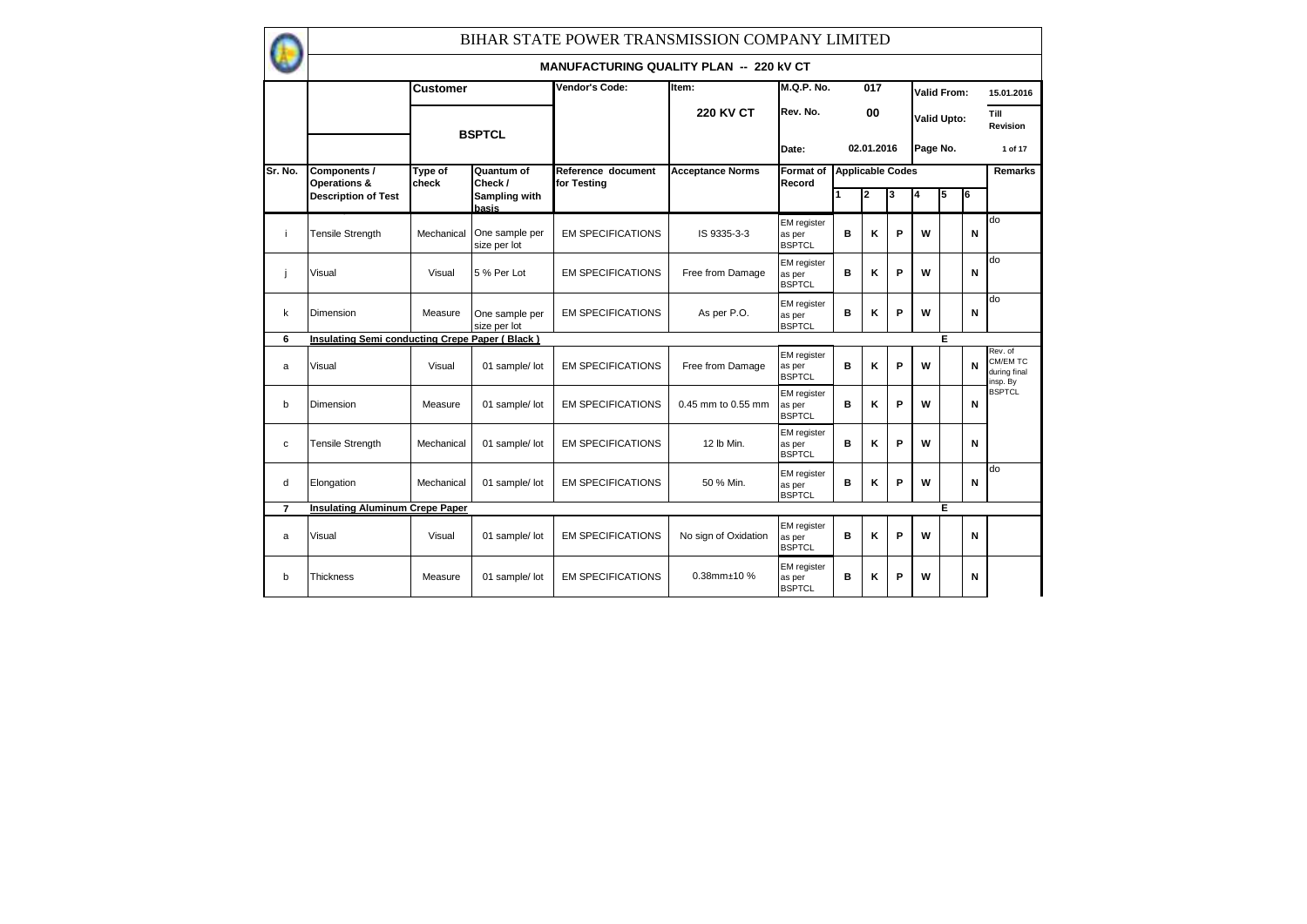|                |                                                |                  |                                | BIHAR STATE POWER TRANSMISSION COMPANY LIMITED |                         |                                               |   |                         |   |          |                    |   |                                                 |
|----------------|------------------------------------------------|------------------|--------------------------------|------------------------------------------------|-------------------------|-----------------------------------------------|---|-------------------------|---|----------|--------------------|---|-------------------------------------------------|
|                |                                                |                  |                                | <b>MANUFACTURING QUALITY PLAN -- 220 KV CT</b> |                         |                                               |   |                         |   |          |                    |   |                                                 |
|                |                                                | <b>Customer</b>  |                                | Vendor's Code:                                 | Item:                   | <b>M.Q.P. No.</b>                             |   | 017                     |   |          | <b>Valid From:</b> |   | 15.01.2016                                      |
|                |                                                |                  | <b>BSPTCL</b>                  |                                                | <b>220 KV CT</b>        | Rev. No.                                      |   | 00                      |   |          | <b>Valid Upto:</b> |   | Till<br>Revision                                |
|                |                                                |                  |                                |                                                |                         | Date:                                         |   | 02.01.2016              |   | Page No. |                    |   | 1 of 17                                         |
| Sr. No.        | Components /<br>Operations &                   | Type of<br>check | Quantum of<br>Check /          | Reference document<br>for Testing              | <b>Acceptance Norms</b> | Format of<br>Record                           |   | <b>Applicable Codes</b> |   |          |                    |   | Remarks                                         |
|                | <b>Description of Test</b>                     |                  | Sampling with<br>basis         |                                                |                         |                                               |   | 2                       | 3 | l4       | 5                  | 6 |                                                 |
| j.             | <b>Tensile Strength</b>                        | Mechanical       | One sample per<br>size per lot | <b>EM SPECIFICATIONS</b>                       | IS 9335-3-3             | <b>EM</b> register<br>as per<br><b>BSPTCL</b> | в | Κ                       | P | w        |                    | N | do                                              |
| j.             | Visual                                         | Visual           | 5 % Per Lot                    | <b>EM SPECIFICATIONS</b>                       | Free from Damage        | <b>EM</b> register<br>as per<br><b>BSPTCL</b> | B | Κ                       | P | W        |                    | N | do                                              |
| k              | Dimension                                      | Measure          | One sample per<br>size per lot | <b>EM SPECIFICATIONS</b>                       | As per P.O.             | <b>EM</b> register<br>as per<br><b>BSPTCL</b> | B | Κ                       | P | W        |                    | N | do                                              |
| 6              | Insulating Semi conducting Crepe Paper (Black) |                  |                                |                                                |                         |                                               |   |                         |   |          | E                  |   |                                                 |
| a              | Visual                                         | Visual           | 01 sample/ lot                 | <b>EM SPECIFICATIONS</b>                       | Free from Damage        | <b>EM</b> register<br>as per<br><b>BSPTCL</b> | B | Κ                       | P | W        |                    | N | Rev. of<br>CM/EM TC<br>during final<br>insp. By |
| b              | Dimension                                      | Measure          | 01 sample/ lot                 | <b>EM SPECIFICATIONS</b>                       | 0.45 mm to 0.55 mm      | <b>EM</b> register<br>as per<br><b>BSPTCL</b> | в | Κ                       | P | W        |                    | N | <b>BSPTCL</b>                                   |
| $\mathbf c$    | <b>Tensile Strength</b>                        | Mechanical       | 01 sample/ lot                 | <b>EM SPECIFICATIONS</b>                       | 12 lb Min.              | <b>EM</b> register<br>as per<br><b>BSPTCL</b> | в | Κ                       | P | W        |                    | N |                                                 |
| d              | Elongation                                     | Mechanical       | 01 sample/ lot                 | <b>EM SPECIFICATIONS</b>                       | 50 % Min.               | <b>EM</b> register<br>as per<br><b>BSPTCL</b> | B | Κ                       | P | W        |                    | N | do                                              |
| $\overline{7}$ | <b>Insulating Aluminum Crepe Paper</b>         |                  |                                |                                                |                         |                                               |   |                         |   |          | Е                  |   |                                                 |
| a              | Visual                                         | Visual           | 01 sample/ lot                 | <b>EM SPECIFICATIONS</b>                       | No sign of Oxidation    | <b>EM</b> register<br>as per<br><b>BSPTCL</b> | B | Κ                       | P | W        |                    | N |                                                 |
| b              | <b>Thickness</b>                               | Measure          | 01 sample/ lot                 | <b>EM SPECIFICATIONS</b>                       | 0.38mm±10 %             | <b>EM</b> register<br>as per<br><b>BSPTCL</b> | в | κ                       | P | W        |                    | N |                                                 |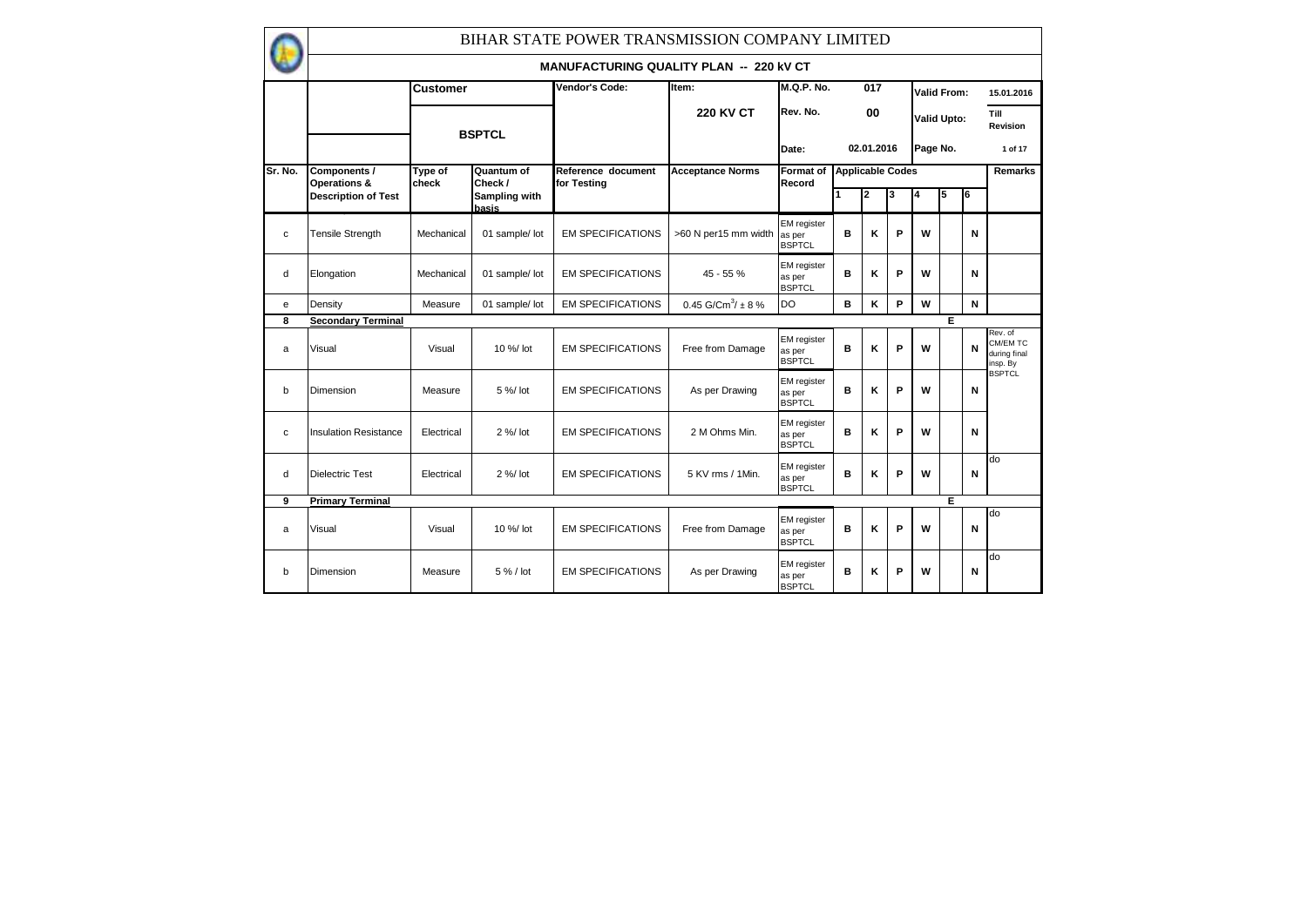|         |                                         |                  |                        | BIHAR STATE POWER TRANSMISSION COMPANY LIMITED |                                    |                                               |                         |            |   |          |                    |    |                                                 |
|---------|-----------------------------------------|------------------|------------------------|------------------------------------------------|------------------------------------|-----------------------------------------------|-------------------------|------------|---|----------|--------------------|----|-------------------------------------------------|
|         |                                         |                  |                        | <b>MANUFACTURING QUALITY PLAN -- 220 KV CT</b> |                                    |                                               |                         |            |   |          |                    |    |                                                 |
|         |                                         | <b>Customer</b>  |                        | Vendor's Code:                                 | Item:                              | <b>M.Q.P. No.</b>                             |                         | 017        |   |          | Valid From:        |    | 15.01.2016                                      |
|         |                                         |                  | <b>BSPTCL</b>          |                                                | <b>220 KV CT</b>                   | Rev. No.                                      |                         | 00         |   |          | <b>Valid Upto:</b> |    | Till<br>Revision                                |
|         |                                         |                  |                        |                                                |                                    | Date:                                         |                         | 02.01.2016 |   | Page No. |                    |    | 1 of 17                                         |
| Sr. No. | Components /<br><b>Operations &amp;</b> | Type of<br>check | Quantum of<br>Check /  | Reference document<br>for Testing              | <b>Acceptance Norms</b>            | <b>Format of</b><br>Record                    | <b>Applicable Codes</b> |            |   |          |                    |    | Remarks                                         |
|         | <b>Description of Test</b>              |                  | Sampling with<br>basis |                                                |                                    |                                               |                         | 2          | 3 |          | 5                  | l6 |                                                 |
| C       | Tensile Strength                        | Mechanical       | 01 sample/ lot         | <b>EM SPECIFICATIONS</b>                       | >60 N per15 mm width               | <b>EM</b> register<br>as per<br><b>BSPTCL</b> | в                       | Κ          | P | W        |                    | N  |                                                 |
| d       | Elongation                              | Mechanical       | 01 sample/ lot         | <b>EM SPECIFICATIONS</b>                       | $45 - 55%$                         | <b>EM</b> register<br>as per<br><b>BSPTCL</b> | в                       | κ          | P | W        |                    | N  |                                                 |
| e       | Density                                 | Measure          | 01 sample/ lot         | <b>EM SPECIFICATIONS</b>                       | 0.45 G/Cm <sup>3</sup> / $\pm$ 8 % | <b>DO</b>                                     | в                       | κ          | P | W        |                    | N  |                                                 |
| 8       | <b>Secondary Terminal</b>               |                  |                        |                                                |                                    |                                               |                         |            |   |          | E                  |    |                                                 |
| a       | Visual                                  | Visual           | 10 %/ lot              | <b>EM SPECIFICATIONS</b>                       | Free from Damage                   | <b>EM</b> register<br>as per<br><b>BSPTCL</b> | B                       | Κ          | P | W        |                    | N  | Rev. of<br>CM/EM TC<br>during final<br>insp. By |
| b       | Dimension                               | Measure          | 5 %/ lot               | <b>EM SPECIFICATIONS</b>                       | As per Drawing                     | <b>EM</b> register<br>as per<br><b>BSPTCL</b> | B                       | ĸ          | P | W        |                    | N  | <b>BSPTCL</b>                                   |
| C       | <b>Insulation Resistance</b>            | Electrical       | $2%$ / $lot$           | <b>EM SPECIFICATIONS</b>                       | 2 M Ohms Min.                      | <b>EM</b> register<br>as per<br><b>BSPTCL</b> | в                       | κ          | P | W        |                    | N  |                                                 |
| d       | <b>Dielectric Test</b>                  | Electrical       | $2%$ / $lot$           | <b>EM SPECIFICATIONS</b>                       | 5 KV rms / 1Min.                   | EM register<br>as per<br><b>BSPTCL</b>        | в                       | κ          | P | W        |                    | N  | do                                              |
| 9       | <b>Primary Terminal</b>                 |                  |                        |                                                |                                    |                                               |                         |            |   |          | E                  |    |                                                 |
| a       | Visual                                  | Visual           | 10 %/ lot              | <b>EM SPECIFICATIONS</b>                       | Free from Damage                   | EM register<br>as per<br><b>BSPTCL</b>        | в                       | κ          | P | W        |                    | N  | do                                              |
| b       | Dimension                               | Measure          | 5 % / lot              | <b>EM SPECIFICATIONS</b>                       | As per Drawing                     | <b>EM</b> register<br>as per<br><b>BSPTCL</b> | B                       | ĸ          | P | W        |                    | N  | do                                              |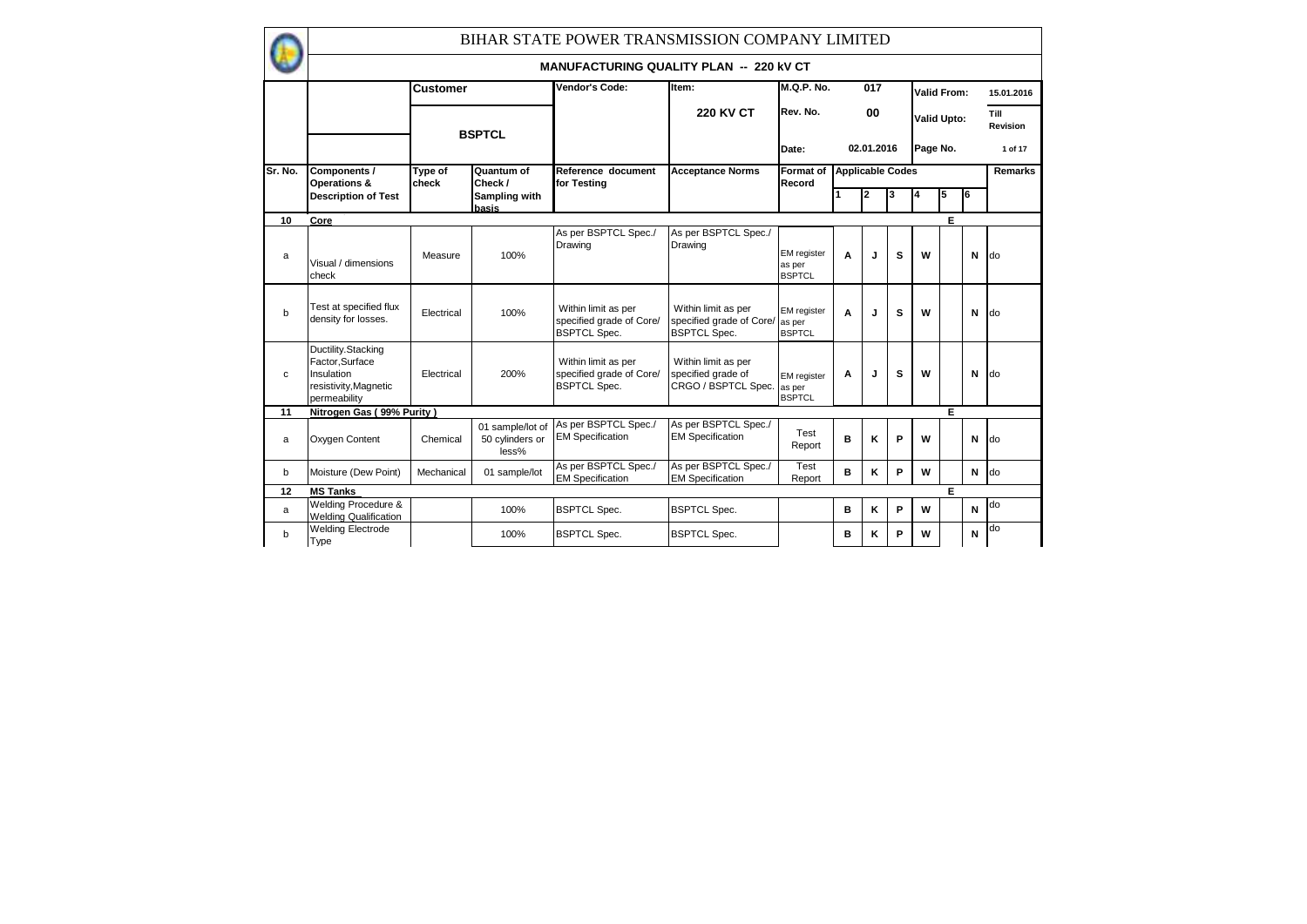|             |                                                                                             |                  |                                              | BIHAR STATE POWER TRANSMISSION COMPANY LIMITED                         |                                                                        |                                               |                         |            |   |          |                    |    |                  |
|-------------|---------------------------------------------------------------------------------------------|------------------|----------------------------------------------|------------------------------------------------------------------------|------------------------------------------------------------------------|-----------------------------------------------|-------------------------|------------|---|----------|--------------------|----|------------------|
|             |                                                                                             |                  |                                              | <b>MANUFACTURING QUALITY PLAN -- 220 KV CT</b>                         |                                                                        |                                               |                         |            |   |          |                    |    |                  |
|             |                                                                                             | <b>Customer</b>  |                                              | Vendor's Code:                                                         | Item:                                                                  | <b>M.Q.P. No.</b>                             |                         | 017        |   |          | Valid From:        |    | 15.01.2016       |
|             |                                                                                             |                  | <b>BSPTCL</b>                                |                                                                        | <b>220 KV CT</b>                                                       | Rev. No.                                      |                         | 00         |   |          | <b>Valid Upto:</b> |    | Till<br>Revision |
|             |                                                                                             |                  |                                              |                                                                        |                                                                        | Date:                                         |                         | 02.01.2016 |   | Page No. |                    |    | 1 of 17          |
| Sr. No.     | Components /<br>Operations &                                                                | Type of<br>check | Quantum of<br>Check /                        | Reference document<br>for Testing                                      | <b>Acceptance Norms</b>                                                | <b>Format of</b><br>Record                    | <b>Applicable Codes</b> |            |   |          |                    |    | <b>Remarks</b>   |
|             | <b>Description of Test</b>                                                                  |                  | Sampling with<br>basis                       |                                                                        |                                                                        |                                               |                         | 2          |   | 4        | 5                  | T6 |                  |
| 10          | Core                                                                                        |                  |                                              |                                                                        |                                                                        |                                               |                         |            |   |          | E.                 |    |                  |
| a           | Visual / dimensions<br>check                                                                | Measure          | 100%                                         | As per BSPTCL Spec./<br>Drawing                                        | As per BSPTCL Spec./<br>Drawing                                        | <b>EM</b> register<br>as per<br><b>BSPTCL</b> | A                       | J          | s | W        |                    | N  | <b>do</b>        |
| $\mathbf b$ | Test at specified flux<br>density for losses.                                               | Electrical       | 100%                                         | Within limit as per<br>specified grade of Core/<br><b>BSPTCL Spec.</b> | Within limit as per<br>specified grade of Core/<br><b>BSPTCL Spec.</b> | <b>EM</b> register<br>as per<br><b>BSPTCL</b> | A                       | J          | s | W        |                    | N  | do               |
| C           | Ductility.Stacking<br>Factor.Surface<br>Insulation<br>resistivity, Magnetic<br>permeability | Electrical       | 200%                                         | Within limit as per<br>specified grade of Core/<br><b>BSPTCL Spec.</b> | Within limit as per<br>specified grade of<br>CRGO / BSPTCL Spec.       | <b>EM</b> register<br>as per<br><b>BSPTCL</b> | A                       | J          | s | W        |                    | N  | <b>do</b>        |
| 11          | Nitrogen Gas (99% Purity)                                                                   |                  |                                              |                                                                        |                                                                        |                                               |                         |            |   |          | E.                 |    |                  |
| a           | Oxygen Content                                                                              | Chemical         | 01 sample/lot of<br>50 cylinders or<br>less% | As per BSPTCL Spec./<br><b>EM Specification</b>                        | As per BSPTCL Spec./<br><b>EM Specification</b>                        | Test<br>Report                                | B                       | κ          | P | W        |                    | N  | do               |
| b           | Moisture (Dew Point)                                                                        | Mechanical       | 01 sample/lot                                | As per BSPTCL Spec./<br><b>EM Specification</b>                        | As per BSPTCL Spec./<br><b>EM Specification</b>                        | Test<br>Report                                | в                       | κ          | P | W        |                    | N  | do               |
| 12          | <b>MS Tanks</b>                                                                             |                  |                                              |                                                                        |                                                                        |                                               |                         |            |   |          | E.                 |    |                  |
| a           | <b>Welding Procedure &amp;</b><br><b>Welding Qualification</b>                              |                  | 100%                                         | <b>BSPTCL Spec.</b>                                                    | <b>BSPTCL Spec.</b>                                                    |                                               | в                       | κ          | P | W        |                    | N  | do               |
| b           | <b>Welding Electrode</b><br>Type                                                            |                  | 100%                                         | <b>BSPTCL Spec.</b>                                                    | <b>BSPTCL Spec.</b>                                                    |                                               | B                       | κ          | P | W        |                    | N  | do               |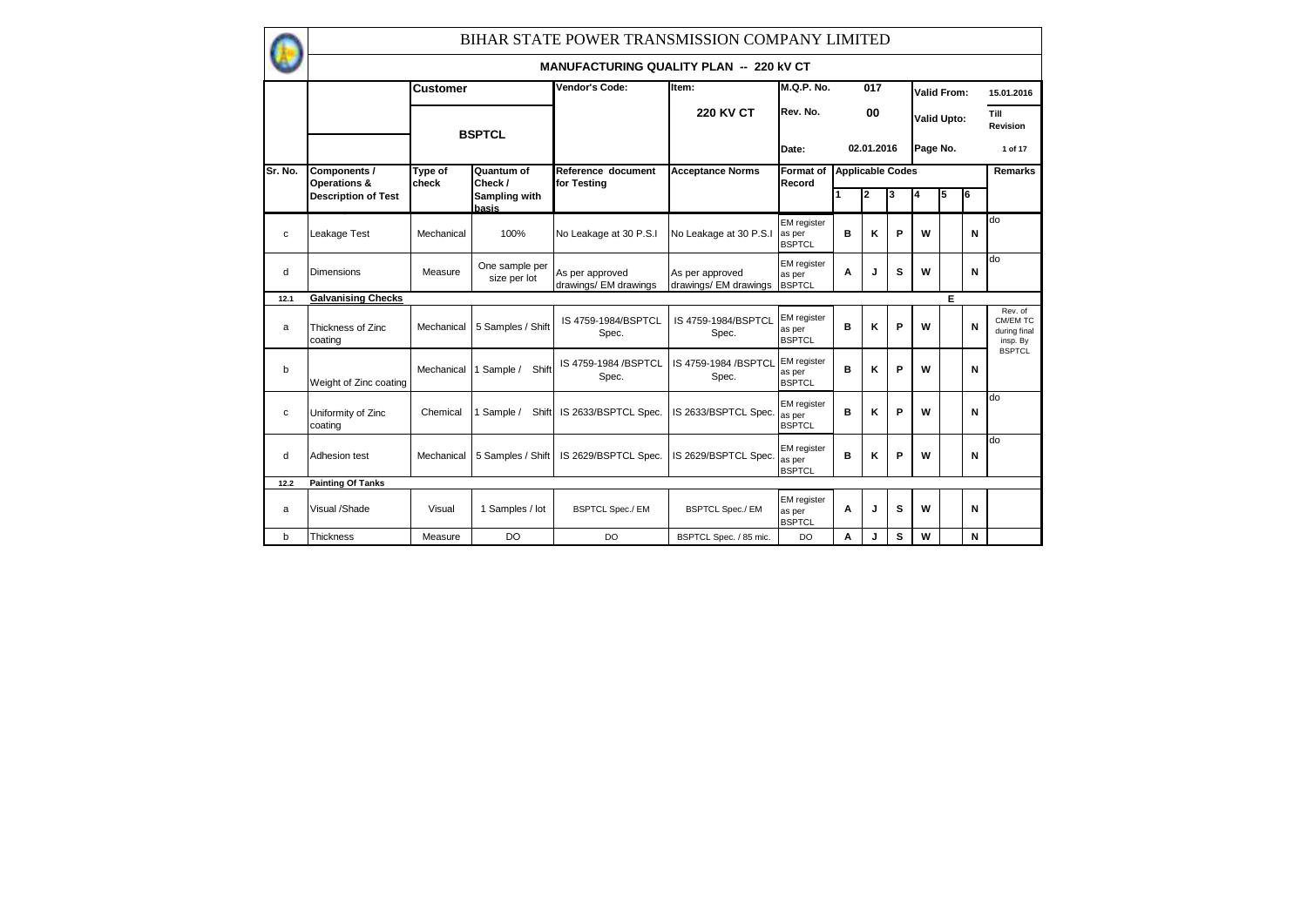|         |                               |                  |                                | BIHAR STATE POWER TRANSMISSION COMPANY LIMITED |                                          |                                               |                         |            |   |          |                    |   |                                                 |
|---------|-------------------------------|------------------|--------------------------------|------------------------------------------------|------------------------------------------|-----------------------------------------------|-------------------------|------------|---|----------|--------------------|---|-------------------------------------------------|
|         |                               |                  |                                | <b>MANUFACTURING QUALITY PLAN -- 220 KV CT</b> |                                          |                                               |                         |            |   |          |                    |   |                                                 |
|         |                               | <b>Customer</b>  |                                | Vendor's Code:                                 | Item:                                    | <b>M.Q.P. No.</b>                             |                         | 017        |   |          | <b>Valid From:</b> |   | 15.01.2016                                      |
|         |                               |                  | <b>BSPTCL</b>                  |                                                | <b>220 KV CT</b>                         | Rev. No.                                      |                         | 00         |   |          | <b>Valid Upto:</b> |   | Till<br>Revision                                |
|         |                               |                  |                                |                                                |                                          | Date:                                         |                         | 02.01.2016 |   | Page No. |                    |   | 1 of 17                                         |
| Sr. No. | Components /<br>Operations &  | Type of<br>check | Quantum of<br>Check /          | Reference document<br>for Testina              | <b>Acceptance Norms</b>                  | <b>Format</b> of<br>Record                    | <b>Applicable Codes</b> |            |   |          |                    |   | <b>Remarks</b>                                  |
|         | <b>Description of Test</b>    |                  | Sampling with<br>basis         |                                                |                                          |                                               |                         | 2          |   | 4        | 5                  | 6 |                                                 |
| c       | Leakage Test                  | Mechanical       | 100%                           | No Leakage at 30 P.S.I                         | No Leakage at 30 P.S.I                   | <b>EM</b> register<br>as per<br><b>BSPTCL</b> | в                       | ĸ          | P | W        |                    | N | do                                              |
| d       | <b>Dimensions</b>             | Measure          | One sample per<br>size per lot | As per approved<br>drawings/ EM drawings       | As per approved<br>drawings/ EM drawings | <b>EM</b> register<br>as per<br><b>BSPTCL</b> | A                       | J          | s | W        |                    | N | do                                              |
| 12.1    | <b>Galvanising Checks</b>     |                  |                                |                                                |                                          |                                               |                         |            |   |          | Е                  |   |                                                 |
| a       | Thickness of Zinc<br>coating  | Mechanical       | 5 Samples / Shift              | IS 4759-1984/BSPTCL<br>Spec.                   | IS 4759-1984/BSPTCL<br>Spec.             | <b>EM</b> register<br>as per<br><b>BSPTCL</b> | B                       | κ          | P | W        |                    | N | Rev. of<br>CM/EM TC<br>during final<br>insp. By |
| b       | Weight of Zinc coating        | Mechanical       | Sample /<br>Shift              | IS 4759-1984 / BSPTCL<br>Spec.                 | IS 4759-1984 /BSPTCL<br>Spec.            | <b>EM</b> register<br>as per<br><b>BSPTCL</b> | B                       | κ          | P | W        |                    | N | <b>BSPTCL</b>                                   |
| c       | Uniformity of Zinc<br>coating | Chemical         | Sample /<br>Shift              | IS 2633/BSPTCL Spec.                           | IS 2633/BSPTCL Spec.                     | <b>EM</b> register<br>as per<br><b>BSPTCL</b> | B                       | κ          | P | W        |                    | N | do                                              |
| d       | Adhesion test                 | Mechanical       | 5 Samples / Shift              | IS 2629/BSPTCL Spec.                           | IS 2629/BSPTCL Spec.                     | <b>EM</b> register<br>as per<br><b>BSPTCL</b> | в                       | ĸ          | P | W        |                    | N | do                                              |
| 12.2    | <b>Painting Of Tanks</b>      |                  |                                |                                                |                                          |                                               |                         |            |   |          |                    |   |                                                 |
| a       | Visual /Shade                 | Visual           | 1 Samples / lot                | <b>BSPTCL Spec./ EM</b>                        | <b>BSPTCL Spec./ EM</b>                  | <b>EM</b> register<br>as per<br><b>BSPTCL</b> | A                       | J          | s | W        |                    | N |                                                 |
| b       | <b>Thickness</b>              | Measure          | <b>DO</b>                      | <b>DO</b>                                      | BSPTCL Spec. / 85 mic.                   | <b>DO</b>                                     | Α                       | J          | s | W        |                    | N |                                                 |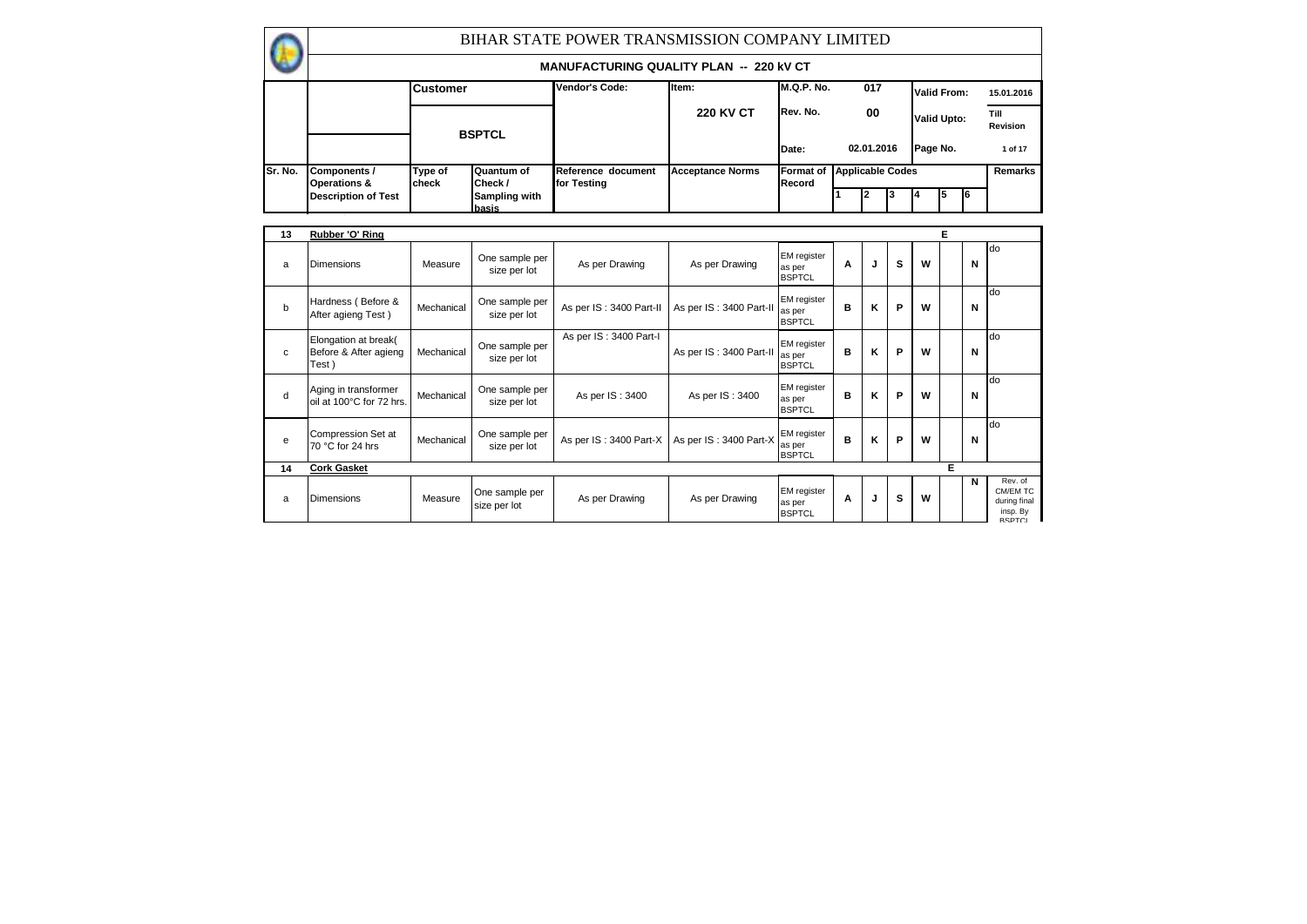|         |                                         |                  |                                | BIHAR STATE POWER TRANSMISSION COMPANY LIMITED |                         |                            |            |     |                         |                    |    |    |                         |
|---------|-----------------------------------------|------------------|--------------------------------|------------------------------------------------|-------------------------|----------------------------|------------|-----|-------------------------|--------------------|----|----|-------------------------|
|         |                                         |                  |                                | <b>MANUFACTURING QUALITY PLAN -- 220 KV CT</b> |                         |                            |            |     |                         |                    |    |    |                         |
|         |                                         | <b>Customer</b>  |                                | Vendor's Code:                                 | ltem:                   | M.Q.P. No.                 |            | 017 |                         | Valid From:        |    |    | 15.01.2016              |
|         |                                         |                  | <b>BSPTCL</b>                  |                                                | <b>220 KV CT</b>        | IRev. No.                  |            | 00  |                         | <b>Valid Upto:</b> |    |    | Till<br><b>Revision</b> |
|         |                                         |                  |                                |                                                |                         | Date:                      | 02.01.2016 |     |                         | Page No.           |    |    | 1 of 17                 |
| Sr. No. | Components /<br><b>Operations &amp;</b> | Type of<br>check | Quantum of<br>Check /          | Reference document<br>for Testing              | <b>Acceptance Norms</b> | <b>Format of</b><br>Record |            |     | <b>Applicable Codes</b> |                    |    |    | Remarks                 |
|         | <b>Description of Test</b>              |                  | Sampling with<br><b>Ibasis</b> |                                                |                         |                            |            |     |                         |                    | 15 | 16 |                         |
|         |                                         |                  |                                |                                                |                         |                            |            |     |                         |                    |    |    |                         |
| 13      | Rubber 'O' Ring                         |                  |                                |                                                |                         |                            |            |     |                         |                    | E  |    |                         |

| 13 | Rubber 'O' Ring                                         |            |                                |                         |                         |                                               |   |   |   |   | Е |   |                                                                  |
|----|---------------------------------------------------------|------------|--------------------------------|-------------------------|-------------------------|-----------------------------------------------|---|---|---|---|---|---|------------------------------------------------------------------|
| a  | <b>Dimensions</b>                                       | Measure    | One sample per<br>size per lot | As per Drawing          | As per Drawing          | <b>EM</b> register<br>as per<br><b>BSPTCL</b> | A | J | s | W |   | N | do                                                               |
| b  | Hardness (Before &<br>After agieng Test)                | Mechanical | One sample per<br>size per lot | As per IS: 3400 Part-II | As per IS: 3400 Part-II | EM register<br>as per<br><b>BSPTCL</b>        | в | Κ | P | W |   | N | do                                                               |
| c  | Elongation at break(<br>Before & After agieng<br>Test ) | Mechanical | One sample per<br>size per lot | As per IS: 3400 Part-I  | As per IS: 3400 Part-II | EM register<br>as per<br><b>BSPTCL</b>        | в | Κ | P | W |   | N | do                                                               |
| d  | Aging in transformer<br>oil at 100°C for 72 hrs.        | Mechanical | One sample per<br>size per lot | As per IS: 3400         | As per IS: 3400         | <b>EM</b> register<br>as per<br><b>BSPTCL</b> | в | Κ | P | W |   | N | do                                                               |
| e  | Compression Set at<br>70 °C for 24 hrs                  | Mechanical | One sample per<br>size per lot | As per IS: 3400 Part-X  | As per IS: 3400 Part-X  | <b>EM</b> register<br>as per<br><b>BSPTCL</b> | B | Κ | P | W |   | N | do                                                               |
| 14 | <b>Cork Gasket</b>                                      |            |                                |                         |                         |                                               |   |   |   |   | Е |   |                                                                  |
| a  | <b>Dimensions</b>                                       | Measure    | One sample per<br>size per lot | As per Drawing          | As per Drawing          | <b>EM</b> register<br>as per<br><b>BSPTCL</b> | A | J | s | W |   | N | Rev. of<br>CM/EM TC<br>during final<br>insp. By<br><b>BSPTCI</b> |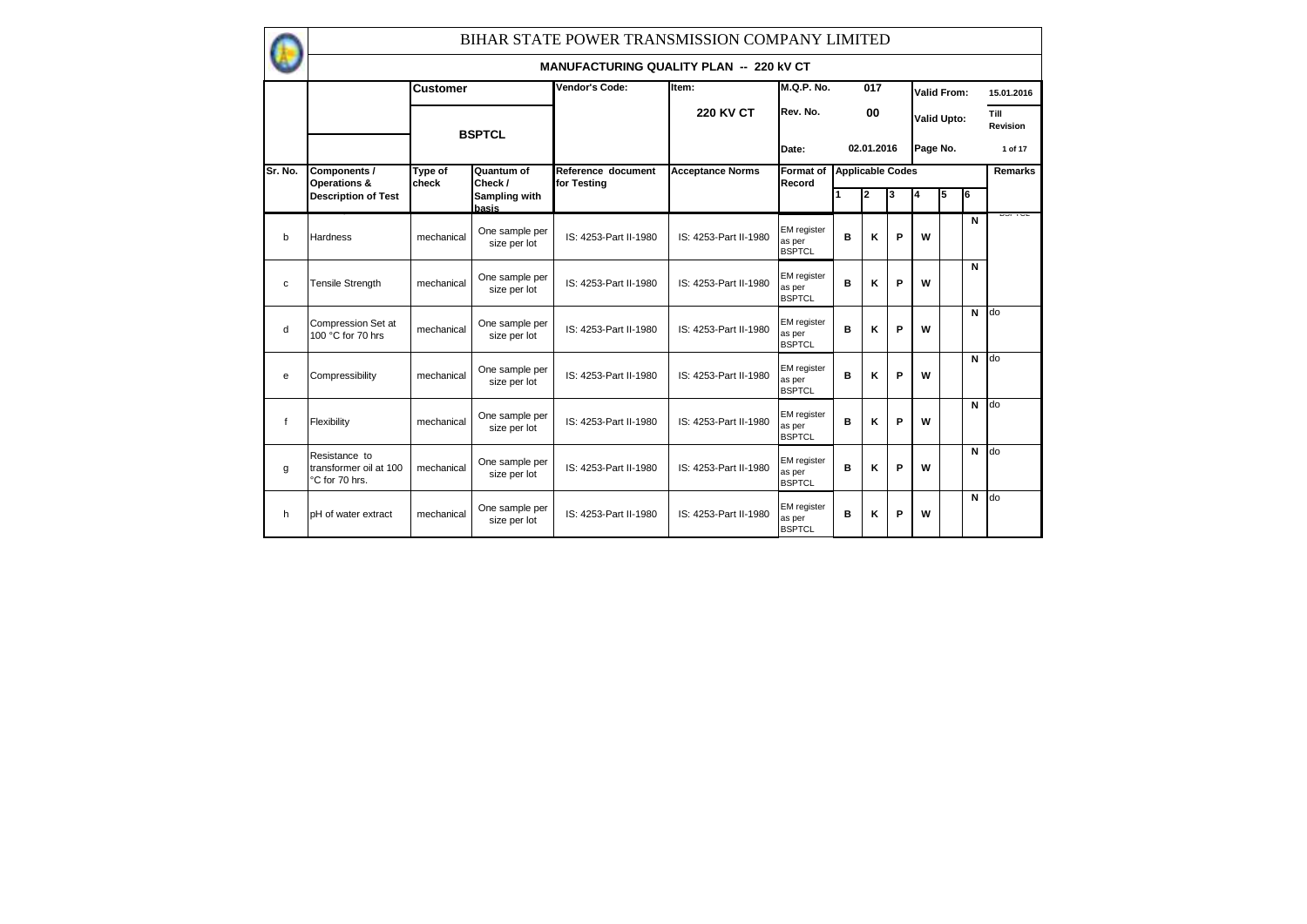|              |                                                           |                  |                                | BIHAR STATE POWER TRANSMISSION COMPANY LIMITED |                         |                                               |                         |            |   |          |                    |    |                  |
|--------------|-----------------------------------------------------------|------------------|--------------------------------|------------------------------------------------|-------------------------|-----------------------------------------------|-------------------------|------------|---|----------|--------------------|----|------------------|
|              |                                                           |                  |                                | <b>MANUFACTURING QUALITY PLAN -- 220 KV CT</b> |                         |                                               |                         |            |   |          |                    |    |                  |
|              |                                                           | <b>Customer</b>  |                                | Vendor's Code:                                 | Item:                   | <b>M.Q.P. No.</b>                             |                         | 017        |   |          | Valid From:        |    | 15.01.2016       |
|              |                                                           |                  | <b>BSPTCL</b>                  |                                                | <b>220 KV CT</b>        | Rev. No.                                      |                         | 00         |   |          | <b>Valid Upto:</b> |    | Till<br>Revision |
|              |                                                           |                  |                                |                                                |                         | Date:                                         |                         | 02.01.2016 |   | Page No. |                    |    | 1 of 17          |
| Sr. No.      | Components /<br>Operations &                              | Type of<br>check | Quantum of<br>Check /          | Reference document<br>for Testina              | <b>Acceptance Norms</b> | Format of<br>Record                           | <b>Applicable Codes</b> |            |   |          |                    |    | <b>Remarks</b>   |
|              | <b>Description of Test</b>                                |                  | Sampling with<br>basis         |                                                |                         |                                               |                         | 2          | 3 | 4        | 5                  | l6 |                  |
| $\mathbf b$  | Hardness                                                  | mechanical       | One sample per<br>size per lot | IS: 4253-Part II-1980                          | IS: 4253-Part II-1980   | <b>EM</b> register<br>as per<br><b>BSPTCL</b> | в                       | κ          | P | W        |                    | N  | שטו וע           |
| C            | <b>Tensile Strength</b>                                   | mechanical       | One sample per<br>size per lot | IS: 4253-Part II-1980                          | IS: 4253-Part II-1980   | <b>EM</b> register<br>as per<br><b>BSPTCL</b> | в                       | κ          | P | W        |                    | N  |                  |
| d            | Compression Set at<br>100 °C for 70 hrs                   | mechanical       | One sample per<br>size per lot | IS: 4253-Part II-1980                          | IS: 4253-Part II-1980   | <b>EM</b> register<br>as per<br><b>BSPTCL</b> | B                       | ĸ          | P | W        |                    | N  | do               |
| e            | Compressibility                                           | mechanical       | One sample per<br>size per lot | IS: 4253-Part II-1980                          | IS: 4253-Part II-1980   | EM register<br>as per<br><b>BSPTCL</b>        | в                       | κ          | P | w        |                    | N  | do               |
| f            | Flexibility                                               | mechanical       | One sample per<br>size per lot | IS: 4253-Part II-1980                          | IS: 4253-Part II-1980   | <b>EM</b> register<br>as per<br><b>BSPTCL</b> | в                       | κ          | P | w        |                    | N  | do               |
| $\mathbf{q}$ | Resistance to<br>transformer oil at 100<br>°C for 70 hrs. | mechanical       | One sample per<br>size per lot | IS: 4253-Part II-1980                          | IS: 4253-Part II-1980   | <b>EM</b> register<br>as per<br><b>BSPTCL</b> | в                       | κ          | P | W        |                    | N  | do               |
| h            | pH of water extract                                       | mechanical       | One sample per<br>size per lot | IS: 4253-Part II-1980                          | IS: 4253-Part II-1980   | <b>EM</b> register<br>as per<br><b>BSPTCL</b> | в                       | κ          | P | w        |                    | N  | do               |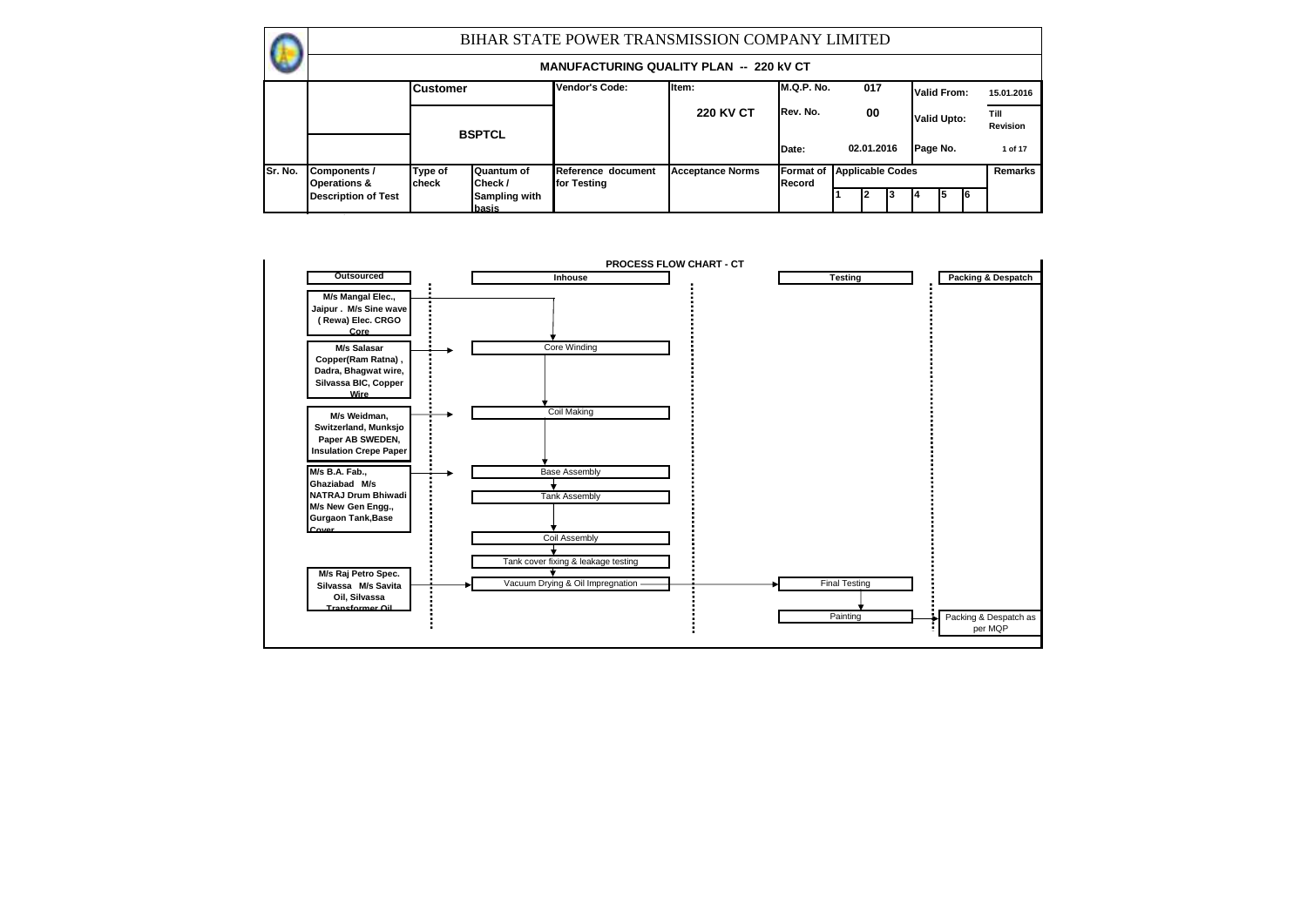|          |                                         |                  |                               | BIHAR STATE POWER TRANSMISSION COMPANY LIMITED |                         |                     |                                       |     |                    |   |    |                  |
|----------|-----------------------------------------|------------------|-------------------------------|------------------------------------------------|-------------------------|---------------------|---------------------------------------|-----|--------------------|---|----|------------------|
|          |                                         |                  |                               | <b>MANUFACTURING QUALITY PLAN -- 220 KV CT</b> |                         |                     |                                       |     |                    |   |    |                  |
|          |                                         | <b>Customer</b>  |                               | Vendor's Code:                                 | litem:                  | M.Q.P. No.          |                                       | 017 | Valid From:        |   |    | 15.01.2016       |
|          |                                         |                  | <b>BSPTCL</b>                 |                                                | <b>220 KV CT</b>        | Rev. No.            |                                       | 00  | <b>Valid Upto:</b> |   |    | Till<br>Revision |
|          |                                         |                  |                               |                                                |                         | Date:               |                                       |     | Page No.           |   |    | 1 of 17          |
| ISr. No. | Components /<br><b>Operations &amp;</b> | Type of<br>check | Quantum of<br>Check /         | Reference document<br>for Testing              | <b>Acceptance Norms</b> | Format of<br>Record | 02.01.2016<br><b>Applicable Codes</b> |     |                    |   |    | Remarks          |
|          | <b>Description of Test</b>              |                  | <b>Sampling with</b><br>basis |                                                |                         |                     |                                       |     |                    | 5 | I6 |                  |

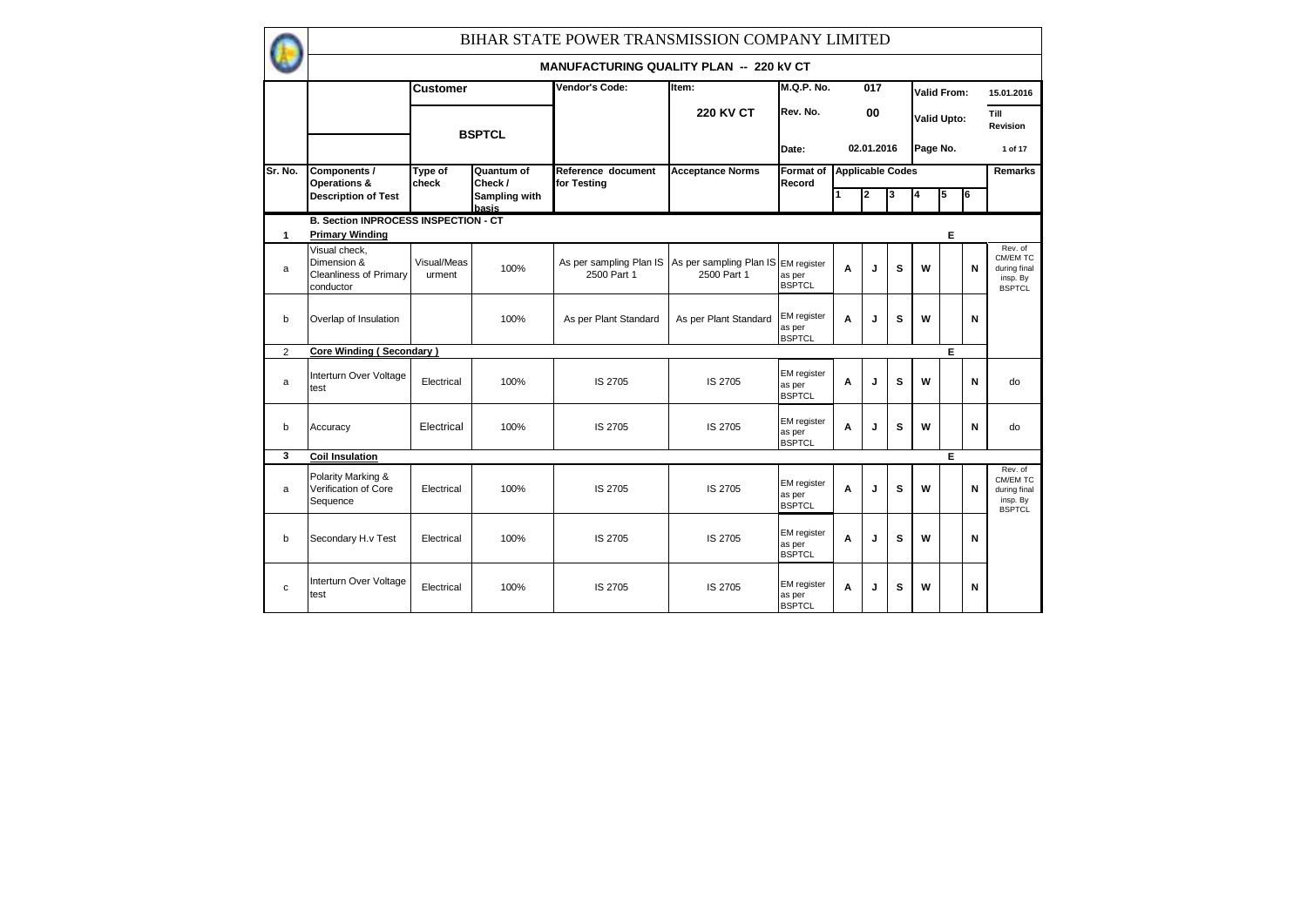|                |                                                                     |                       |                        | BIHAR STATE POWER TRANSMISSION COMPANY LIMITED |                                        |                                               |                         |            |   |                    |                    |    |                                                                  |
|----------------|---------------------------------------------------------------------|-----------------------|------------------------|------------------------------------------------|----------------------------------------|-----------------------------------------------|-------------------------|------------|---|--------------------|--------------------|----|------------------------------------------------------------------|
|                |                                                                     |                       |                        | <b>MANUFACTURING QUALITY PLAN -- 220 KV CT</b> |                                        |                                               |                         |            |   |                    |                    |    |                                                                  |
|                |                                                                     | Customer              |                        | Vendor's Code:                                 | Item:                                  | <b>M.Q.P. No.</b>                             |                         | 017        |   | <b>Valid From:</b> |                    |    | 15.01.2016                                                       |
|                |                                                                     |                       | <b>BSPTCL</b>          |                                                | <b>220 KV CT</b>                       | Rev. No.                                      |                         | 00         |   |                    | <b>Valid Upto:</b> |    | Till<br>Revision                                                 |
|                |                                                                     |                       |                        |                                                |                                        | Date:                                         |                         | 02.01.2016 |   | Page No.           |                    |    | 1 of 17                                                          |
| Sr. No.        | Components /<br>Operations &                                        | Type of<br>check      | Quantum of<br>Check/   | Reference document<br>for Testing              | <b>Acceptance Norms</b>                | Format of<br>Record                           | <b>Applicable Codes</b> |            |   |                    |                    |    | Remarks                                                          |
|                | <b>Description of Test</b>                                          |                       | Sampling with<br>basis |                                                |                                        |                                               |                         | 2          | 3 | 4                  | 5                  | l6 |                                                                  |
|                | <b>B. Section INPROCESS INSPECTION - CT</b>                         |                       |                        |                                                |                                        |                                               |                         |            |   |                    |                    |    |                                                                  |
| 1              | <b>Primary Winding</b>                                              |                       |                        |                                                |                                        |                                               |                         |            |   |                    | Е                  |    |                                                                  |
| a              | Visual check.<br>Dimension &<br>Cleanliness of Primary<br>conductor | Visual/Meas<br>urment | 100%                   | As per sampling Plan IS<br>2500 Part 1         | As per sampling Plan IS<br>2500 Part 1 | <b>EM</b> register<br>as per<br><b>BSPTCL</b> | A                       | J          | s | W                  |                    | N  | Rev. of<br>CM/EM TC<br>during final<br>insp. By<br><b>BSPTCL</b> |
| $\mathbf b$    | Overlap of Insulation                                               |                       | 100%                   | As per Plant Standard                          | As per Plant Standard                  | EM register<br>as per<br><b>BSPTCL</b>        | A                       | J          | s | W                  |                    | N  |                                                                  |
| $\overline{2}$ | <b>Core Winding (Secondary)</b>                                     |                       |                        |                                                |                                        |                                               |                         |            |   |                    | Е                  |    |                                                                  |
| a              | Interturn Over Voltage<br>test                                      | Electrical            | 100%                   | IS 2705                                        | IS 2705                                | <b>EM</b> register<br>as per<br><b>BSPTCL</b> | A                       | J          | s | W                  |                    | N  | do                                                               |
| b              | Accuracy                                                            | Electrical            | 100%                   | IS 2705                                        | IS 2705                                | <b>EM</b> register<br>as per<br><b>BSPTCL</b> | A                       | J          | s | W                  |                    | N  | do                                                               |
| 3              | <b>Coil Insulation</b>                                              |                       |                        |                                                |                                        |                                               |                         |            |   |                    | Е                  |    |                                                                  |
| a              | Polarity Marking &<br>Verification of Core<br>Sequence              | Electrical            | 100%                   | IS 2705                                        | IS 2705                                | <b>EM</b> register<br>as per<br><b>BSPTCL</b> | A                       | J          | s | W                  |                    | N  | Rev. of<br>CM/EM TC<br>during final<br>insp. By<br><b>BSPTCL</b> |
| b              | Secondary H.v Test                                                  | Electrical            | 100%                   | IS 2705                                        | IS 2705                                | EM register<br>as per<br><b>BSPTCL</b>        | A                       | J          | s | W                  |                    | N  |                                                                  |
| C              | Interturn Over Voltage<br>test                                      | Electrical            | 100%                   | IS 2705                                        | IS 2705                                | EM register<br>as per<br><b>BSPTCL</b>        | A                       | J          | s | W                  |                    | N  |                                                                  |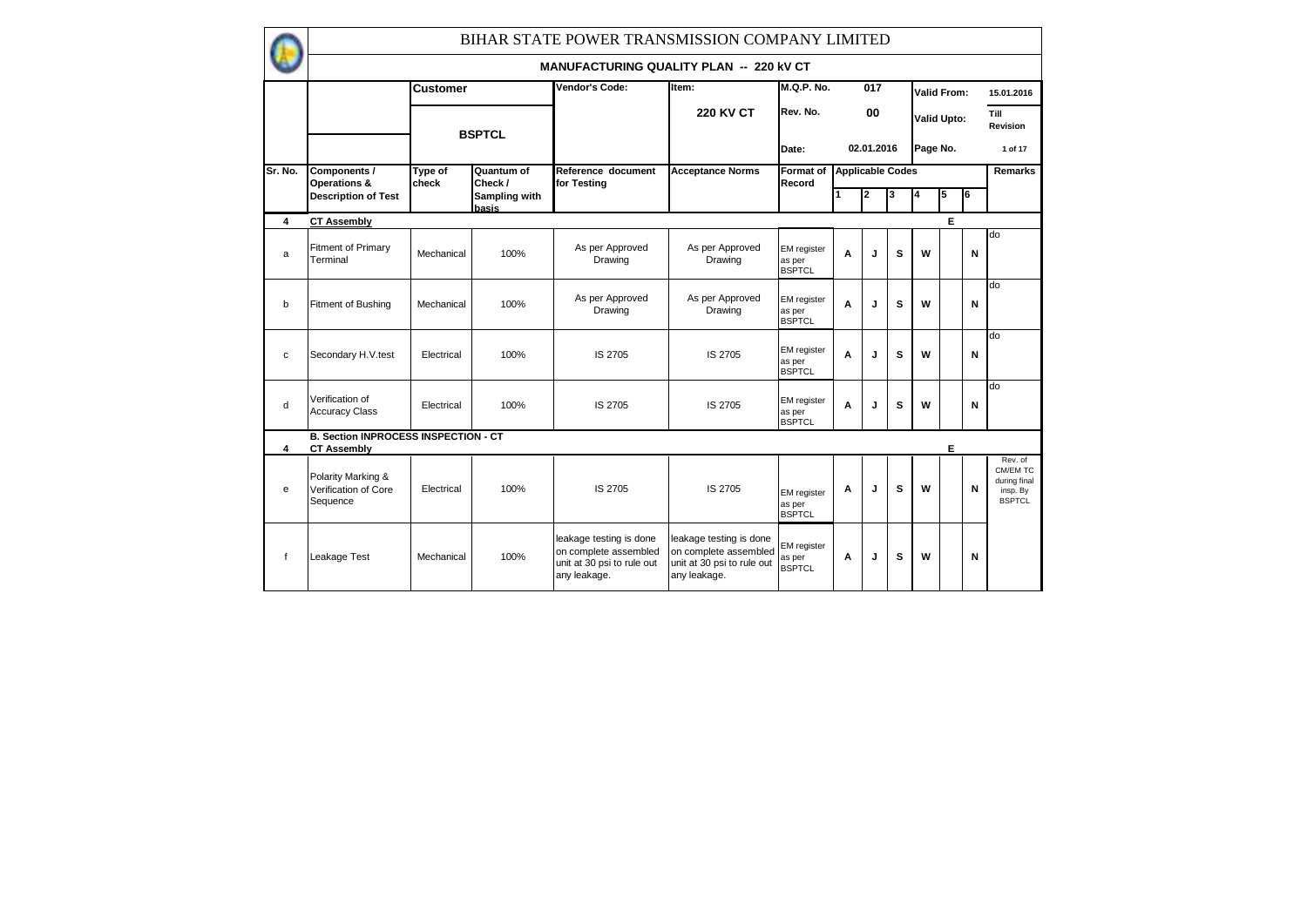|             | BIHAR STATE POWER TRANSMISSION COMPANY LIMITED                    |                  |                        |                                                                                                |                                                                                                |                                               |                         |            |   |                    |                    |    |                                                                  |
|-------------|-------------------------------------------------------------------|------------------|------------------------|------------------------------------------------------------------------------------------------|------------------------------------------------------------------------------------------------|-----------------------------------------------|-------------------------|------------|---|--------------------|--------------------|----|------------------------------------------------------------------|
|             |                                                                   |                  |                        | <b>MANUFACTURING QUALITY PLAN -- 220 KV CT</b>                                                 |                                                                                                |                                               |                         |            |   |                    |                    |    |                                                                  |
|             |                                                                   | <b>Customer</b>  |                        | Vendor's Code:                                                                                 | Item:                                                                                          | <b>M.Q.P. No.</b>                             |                         | 017        |   | <b>Valid From:</b> |                    |    | 15.01.2016                                                       |
|             |                                                                   |                  | <b>BSPTCL</b>          |                                                                                                | <b>220 KV CT</b>                                                                               | Rev. No.                                      |                         | 00         |   |                    | <b>Valid Upto:</b> |    | Till<br>Revision                                                 |
|             |                                                                   |                  |                        |                                                                                                |                                                                                                | Date:                                         |                         | 02.01.2016 |   | Page No.           |                    |    | 1 of 17                                                          |
| Sr. No.     | Components /<br>Operations &                                      | Type of<br>check | Quantum of<br>Check /  | Reference document<br>for Testing                                                              | <b>Acceptance Norms</b>                                                                        | Format of<br>Record                           | <b>Applicable Codes</b> |            |   |                    |                    |    | Remarks                                                          |
|             | <b>Description of Test</b>                                        |                  | Sampling with<br>basis |                                                                                                |                                                                                                |                                               |                         | 2          | 3 |                    | 5                  | l6 |                                                                  |
| 4           | <b>CT Assembly</b>                                                |                  |                        |                                                                                                |                                                                                                |                                               |                         |            |   |                    | E                  |    |                                                                  |
| a           | Fitment of Primary<br>Terminal                                    | Mechanical       | 100%                   | As per Approved<br>Drawing                                                                     | As per Approved<br>Drawing                                                                     | <b>EM</b> register<br>as per<br><b>BSPTCL</b> | A                       | J          | S | W                  |                    | N  | do                                                               |
| $\mathbf b$ | Fitment of Bushing                                                | Mechanical       | 100%                   | As per Approved<br>Drawing                                                                     | As per Approved<br>Drawing                                                                     | <b>EM</b> register<br>as per<br><b>BSPTCL</b> | A                       | J          | s | W                  |                    | N  | do                                                               |
| C           | Secondary H.V.test                                                | Electrical       | 100%                   | IS 2705                                                                                        | IS 2705                                                                                        | <b>EM</b> register<br>as per<br><b>BSPTCL</b> | A                       | J          | s | W                  |                    | N  | do                                                               |
| d           | Verification of<br><b>Accuracy Class</b>                          | Electrical       | 100%                   | IS 2705                                                                                        | IS 2705                                                                                        | <b>EM</b> register<br>as per<br><b>BSPTCL</b> | A                       | J          | S | W                  |                    | N  | do                                                               |
| 4           | <b>B. Section INPROCESS INSPECTION - CT</b><br><b>CT Assembly</b> |                  |                        |                                                                                                |                                                                                                |                                               |                         |            |   |                    | E                  |    |                                                                  |
| e           | Polarity Marking &<br>Verification of Core<br>Sequence            | Electrical       | 100%                   | IS 2705                                                                                        | IS 2705                                                                                        | <b>EM</b> register<br>as per<br><b>BSPTCL</b> | A                       | J          | s | W                  |                    | N  | Rev. of<br>CM/EM TC<br>during final<br>insp. By<br><b>BSPTCL</b> |
| $\mathbf f$ | Leakage Test                                                      | Mechanical       | 100%                   | leakage testing is done<br>on complete assembled<br>unit at 30 psi to rule out<br>any leakage. | leakage testing is done<br>on complete assembled<br>unit at 30 psi to rule out<br>any leakage. | EM register<br>as per<br><b>BSPTCL</b>        | A                       | J          | S | W                  |                    | N  |                                                                  |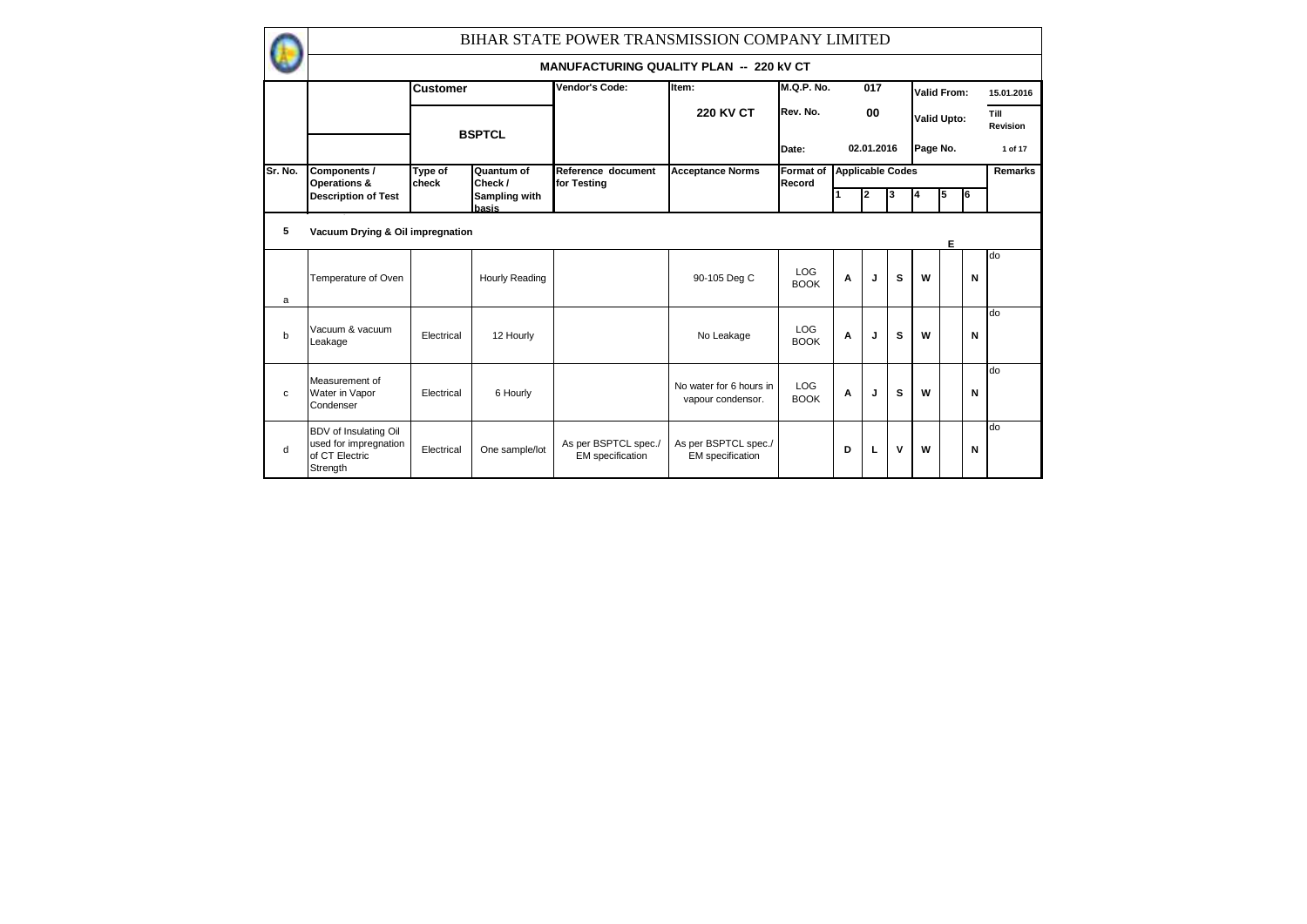|         |                                                                              |                  |                        | BIHAR STATE POWER TRANSMISSION COMPANY LIMITED  |                                                 |                            |                         |            |   |                    |          |    |                  |
|---------|------------------------------------------------------------------------------|------------------|------------------------|-------------------------------------------------|-------------------------------------------------|----------------------------|-------------------------|------------|---|--------------------|----------|----|------------------|
|         |                                                                              |                  |                        | <b>MANUFACTURING QUALITY PLAN -- 220 KV CT</b>  |                                                 |                            |                         |            |   |                    |          |    |                  |
|         |                                                                              | <b>Customer</b>  |                        | Vendor's Code:                                  | Item:                                           | $M.Q.P.$ No.               |                         | 017        |   | <b>Valid From:</b> |          |    | 15.01.2016       |
|         |                                                                              |                  | <b>BSPTCL</b>          |                                                 | <b>220 KV CT</b>                                | Rev. No.                   |                         | 00         |   | <b>Valid Upto:</b> |          |    | Till<br>Revision |
|         |                                                                              |                  |                        |                                                 |                                                 | Date:                      |                         | 02.01.2016 |   |                    | Page No. |    | 1 of 17          |
| Sr. No. | Components /<br>Operations &                                                 | Type of<br>check | Quantum of<br>Check /  | Reference document<br>for Testing               | <b>Acceptance Norms</b>                         | <b>Format of</b><br>Record | <b>Applicable Codes</b> |            |   |                    |          |    | Remarks          |
|         | <b>Description of Test</b>                                                   |                  | Sampling with<br>basis |                                                 |                                                 |                            |                         | 2          | 3 |                    | 5        | l6 |                  |
| 5       | Vacuum Drying & Oil impregnation                                             |                  |                        |                                                 |                                                 |                            |                         |            |   |                    | Е        |    |                  |
| a       | Temperature of Oven                                                          |                  | Hourly Reading         |                                                 | 90-105 Deg C                                    | <b>LOG</b><br><b>BOOK</b>  | A                       | J          | s | W                  |          | N  | do               |
| b       | Vacuum & vacuum<br>Leakage                                                   | Electrical       | 12 Hourly              |                                                 | No Leakage                                      | <b>LOG</b><br><b>BOOK</b>  | A                       | J          | s | W                  |          | N  | do               |
| c       | Measurement of<br>Water in Vapor<br>Condenser                                | Electrical       | 6 Hourly               |                                                 | No water for 6 hours in<br>vapour condensor.    | <b>LOG</b><br><b>BOOK</b>  | Α                       | J          | s | W                  |          | N  | do               |
| d       | BDV of Insulating Oil<br>used for impregnation<br>of CT Electric<br>Strength | Electrical       | One sample/lot         | As per BSPTCL spec./<br><b>EM</b> specification | As per BSPTCL spec./<br><b>EM</b> specification |                            | D                       | L          | v | W                  |          | N  | do               |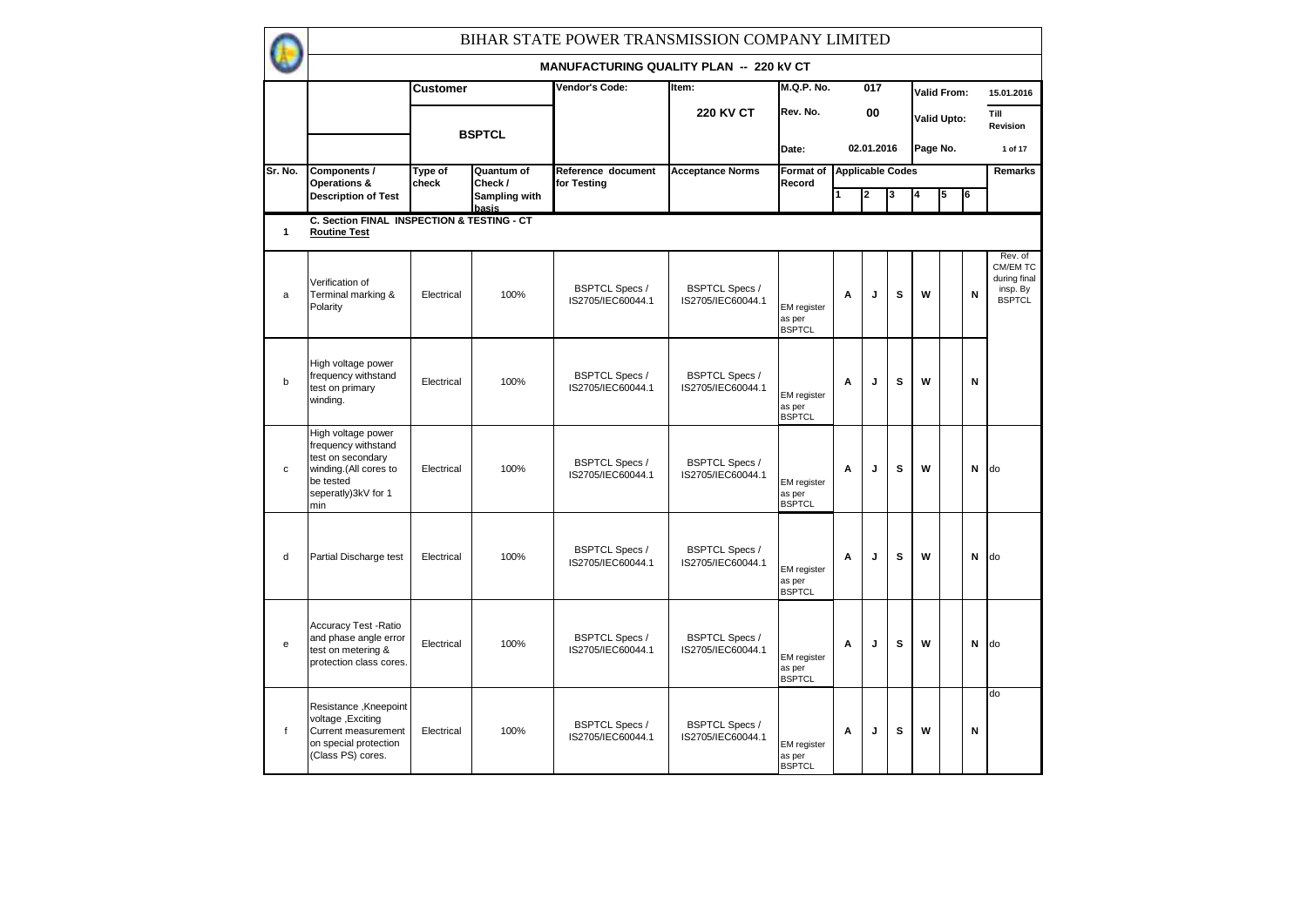|              | BIHAR STATE POWER TRANSMISSION COMPANY LIMITED                                                                                     |                  |                        |                                            |                                            |                                               |   |                  |                         |          |                    |    |                                                                  |
|--------------|------------------------------------------------------------------------------------------------------------------------------------|------------------|------------------------|--------------------------------------------|--------------------------------------------|-----------------------------------------------|---|------------------|-------------------------|----------|--------------------|----|------------------------------------------------------------------|
|              |                                                                                                                                    |                  |                        | MANUFACTURING QUALITY PLAN -- 220 kV CT    |                                            |                                               |   |                  |                         |          |                    |    |                                                                  |
|              |                                                                                                                                    | <b>Customer</b>  |                        | Vendor's Code:                             | Item:                                      | <b>M.Q.P. No.</b>                             |   | $\overline{017}$ |                         |          | Valid From:        |    | 15.01.2016                                                       |
|              |                                                                                                                                    |                  | <b>BSPTCL</b>          |                                            | <b>220 KV CT</b>                           | Rev. No.                                      |   | 00               |                         |          | <b>Valid Upto:</b> |    | Till<br>Revision                                                 |
|              |                                                                                                                                    |                  |                        |                                            |                                            | Date:                                         |   | 02.01.2016       |                         | Page No. |                    |    | 1 of 17                                                          |
| Sr. No.      | Components /<br>Operations &                                                                                                       | Type of<br>check | Quantum of<br>Check /  | Reference document<br>for Testing          | <b>Acceptance Norms</b>                    | Format of<br>Record                           |   |                  | <b>Applicable Codes</b> |          |                    |    | Remarks                                                          |
|              | <b>Description of Test</b>                                                                                                         |                  | Sampling with<br>basis |                                            |                                            |                                               |   | 2                | 3                       | 4        | 5                  | l6 |                                                                  |
| $\mathbf{1}$ | C. Section FINAL INSPECTION & TESTING - CT<br><b>Routine Test</b>                                                                  |                  |                        |                                            |                                            |                                               |   |                  |                         |          |                    |    |                                                                  |
| a            | Verification of<br>Terminal marking &<br>Polarity                                                                                  | Electrical       | 100%                   | <b>BSPTCL Specs /</b><br>IS2705/IEC60044.1 | <b>BSPTCL Specs /</b><br>IS2705/IEC60044.1 | <b>EM</b> register<br>as per<br><b>BSPTCL</b> | A | J                | s                       | W        |                    | N  | Rev. of<br>CM/EM TC<br>during final<br>insp. By<br><b>BSPTCL</b> |
| $\mathsf{b}$ | High voltage power<br>frequency withstand<br>test on primary<br>winding.                                                           | Electrical       | 100%                   | <b>BSPTCL Specs /</b><br>IS2705/IEC60044.1 | <b>BSPTCL Specs /</b><br>IS2705/IEC60044.1 | <b>EM</b> register<br>as per<br><b>BSPTCL</b> | A | J                | s                       | W        |                    | N  |                                                                  |
| $\mathbf c$  | High voltage power<br>frequency withstand<br>test on secondary<br>winding.(All cores to<br>be tested<br>seperatly)3kV for 1<br>min | Electrical       | 100%                   | <b>BSPTCL Specs /</b><br>IS2705/IEC60044.1 | <b>BSPTCL Specs /</b><br>IS2705/IEC60044.1 | EM register<br>as per<br><b>BSPTCL</b>        | A | J                | s                       | W        |                    | N  | do                                                               |
| d            | Partial Discharge test                                                                                                             | Electrical       | 100%                   | <b>BSPTCL Specs /</b><br>IS2705/IEC60044.1 | <b>BSPTCL Specs /</b><br>IS2705/IEC60044.1 | EM register<br>as per<br><b>BSPTCL</b>        | A | J                | s                       | W        |                    | N  | do                                                               |
| e            | <b>Accuracy Test - Ratio</b><br>and phase angle error<br>test on metering &<br>protection class cores.                             | Electrical       | 100%                   | <b>BSPTCL Specs /</b><br>IS2705/IEC60044.1 | <b>BSPTCL Specs /</b><br>IS2705/IEC60044.1 | EM register<br>as per<br><b>BSPTCL</b>        | A | J                | s                       | W        |                    | N  | do                                                               |
| f            | Resistance, Kneepoint<br>voltage, Exciting<br>Current measurement<br>on special protection<br>(Class PS) cores.                    | Electrical       | 100%                   | <b>BSPTCL Specs /</b><br>IS2705/IEC60044.1 | <b>BSPTCL Specs /</b><br>IS2705/IEC60044.1 | EM register<br>as per<br><b>BSPTCL</b>        | A | J                | S                       | W        |                    | N  | do                                                               |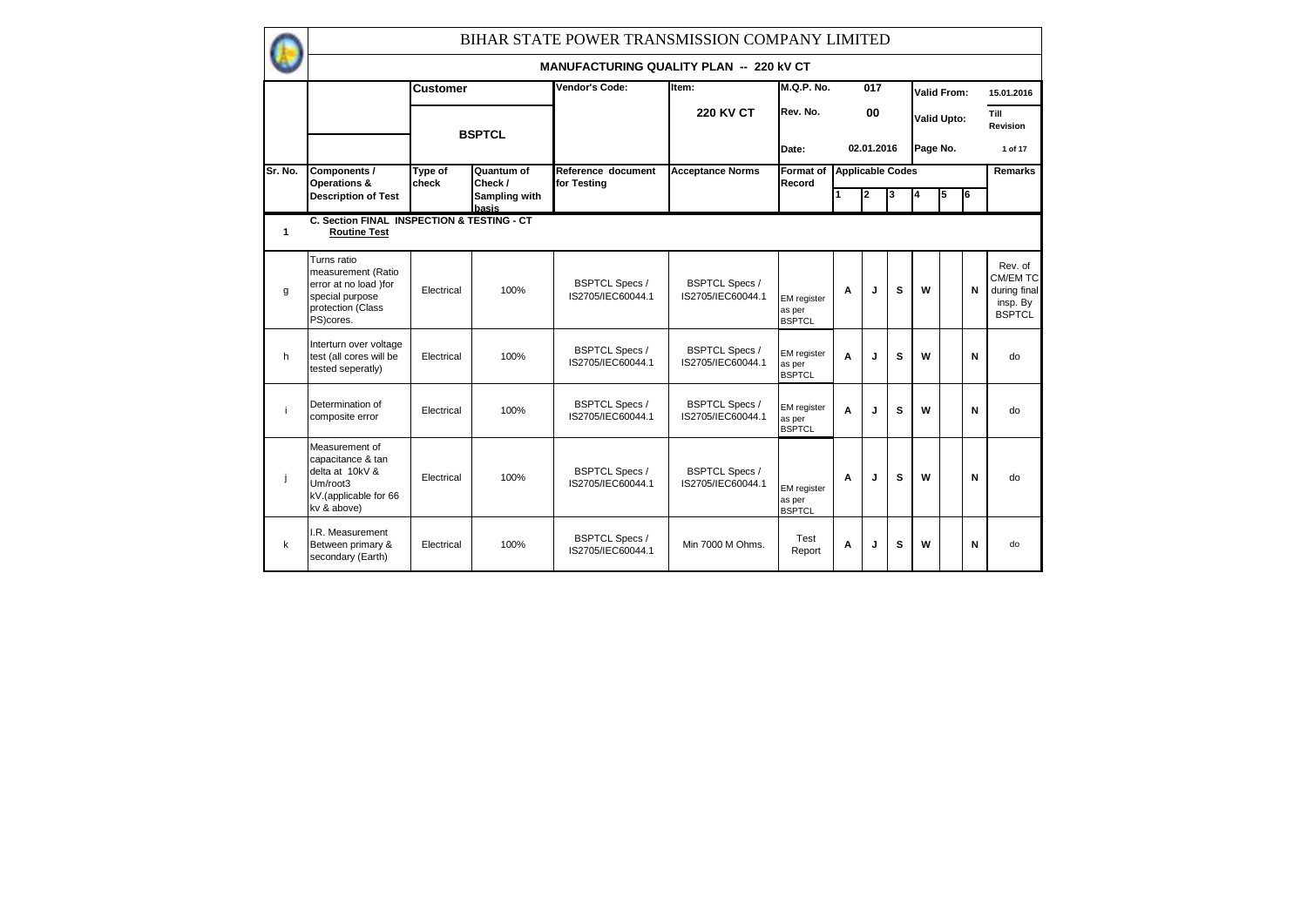|              | BIHAR STATE POWER TRANSMISSION COMPANY LIMITED                                                                  |                  |                        |                                                |                                            |                                        |   |            |                         |          |                    |    |                                                                  |
|--------------|-----------------------------------------------------------------------------------------------------------------|------------------|------------------------|------------------------------------------------|--------------------------------------------|----------------------------------------|---|------------|-------------------------|----------|--------------------|----|------------------------------------------------------------------|
|              |                                                                                                                 |                  |                        | <b>MANUFACTURING QUALITY PLAN -- 220 KV CT</b> |                                            |                                        |   |            |                         |          |                    |    |                                                                  |
|              |                                                                                                                 | <b>Customer</b>  |                        | Vendor's Code:                                 | Item:                                      | <b>M.Q.P. No.</b>                      |   | 017        |                         |          | <b>Valid From:</b> |    | 15.01.2016                                                       |
|              |                                                                                                                 |                  | <b>BSPTCL</b>          |                                                | <b>220 KV CT</b>                           | Rev. No.                               |   | 00         |                         |          | <b>Valid Upto:</b> |    | Till<br>Revision                                                 |
|              |                                                                                                                 |                  |                        |                                                |                                            | Date:                                  |   | 02.01.2016 |                         | Page No. |                    |    | 1 of 17                                                          |
| Sr. No.      | Components /<br>Operations &                                                                                    | Type of<br>check | Quantum of<br>Check /  | Reference document<br>for Testing              | <b>Acceptance Norms</b>                    | Format of<br>Record                    |   |            | <b>Applicable Codes</b> |          |                    |    | <b>Remarks</b>                                                   |
|              | <b>Description of Test</b>                                                                                      |                  | Sampling with<br>basis |                                                |                                            |                                        |   | 2          | 3                       |          | 5                  | l6 |                                                                  |
| 1            | C. Section FINAL INSPECTION & TESTING - CT<br><b>Routine Test</b>                                               |                  |                        |                                                |                                            |                                        |   |            |                         |          |                    |    |                                                                  |
| $\mathbf{q}$ | Turns ratio<br>measurement (Ratio<br>error at no load )for<br>special purpose<br>protection (Class<br>PS)cores. | Electrical       | 100%                   | <b>BSPTCL Specs /</b><br>IS2705/IEC60044.1     | <b>BSPTCL Specs /</b><br>IS2705/IEC60044.1 | EM register<br>as per<br><b>BSPTCL</b> | A | J          | s                       | W        |                    | N  | Rev. of<br>CM/EM TC<br>during final<br>insp. By<br><b>BSPTCL</b> |
| h            | Interturn over voltage<br>test (all cores will be<br>tested seperatly)                                          | Electrical       | 100%                   | <b>BSPTCL Specs /</b><br>IS2705/IEC60044.1     | <b>BSPTCL Specs /</b><br>IS2705/IEC60044.1 | EM register<br>as per<br><b>BSPTCL</b> | A | J          | s                       | W        |                    | N  | do                                                               |
| j            | Determination of<br>composite error                                                                             | Electrical       | 100%                   | <b>BSPTCL Specs /</b><br>IS2705/IEC60044.1     | <b>BSPTCL Specs /</b><br>IS2705/IEC60044.1 | EM register<br>as per<br><b>BSPTCL</b> | A | J          | s                       | W        |                    | N  | do                                                               |
| ji           | Measurement of<br>capacitance & tan<br>delta at 10kV &<br>Um/root3<br>kV.(applicable for 66<br>kv & above)      | Electrical       | 100%                   | <b>BSPTCL Specs /</b><br>IS2705/IEC60044.1     | <b>BSPTCL Specs /</b><br>IS2705/IEC60044.1 | EM register<br>as per<br><b>BSPTCL</b> | A | J          | s                       | W        |                    | N  | do                                                               |
| $\mathsf k$  | I.R. Measurement<br>Between primary &<br>secondary (Earth)                                                      | Electrical       | 100%                   | <b>BSPTCL Specs /</b><br>IS2705/IEC60044.1     | Min 7000 M Ohms.                           | Test<br>Report                         | A | J          | s                       | W        |                    | N  | do                                                               |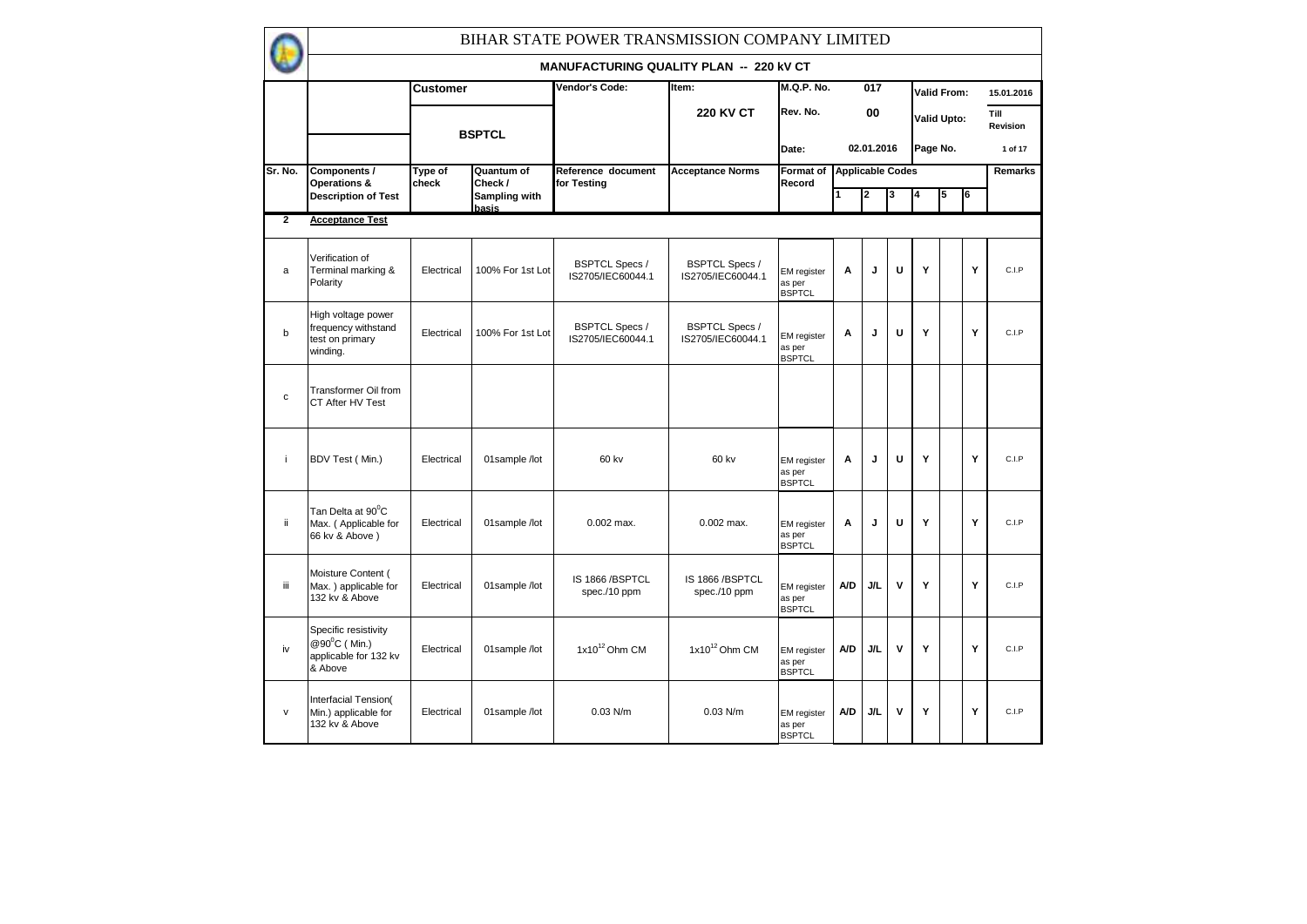|                | BIHAR STATE POWER TRANSMISSION COMPANY LIMITED                           |                  |                        |                                                |                                            |                                               |     |            |                         |          |                    |   |                  |
|----------------|--------------------------------------------------------------------------|------------------|------------------------|------------------------------------------------|--------------------------------------------|-----------------------------------------------|-----|------------|-------------------------|----------|--------------------|---|------------------|
|                |                                                                          |                  |                        | <b>MANUFACTURING QUALITY PLAN -- 220 KV CT</b> |                                            |                                               |     |            |                         |          |                    |   |                  |
|                |                                                                          | <b>Customer</b>  |                        | Vendor's Code:                                 | Item:                                      | <b>M.Q.P. No.</b>                             |     | 017        |                         |          | Valid From:        |   | 15.01.2016       |
|                |                                                                          |                  |                        |                                                | <b>220 KV CT</b>                           | Rev. No.                                      |     | 00         |                         |          | <b>Valid Upto:</b> |   | Till<br>Revision |
|                |                                                                          |                  | <b>BSPTCL</b>          |                                                |                                            | Date:                                         |     | 02.01.2016 |                         | Page No. |                    |   | 1 of 17          |
| Sr. No.        | Components /<br>Operations &                                             | Type of<br>check | Quantum of<br>Check/   | Reference document<br>for Testing              | <b>Acceptance Norms</b>                    | Format of<br>Record                           |     |            | <b>Applicable Codes</b> |          |                    |   | Remarks          |
|                | <b>Description of Test</b>                                               |                  | Sampling with<br>basis |                                                |                                            |                                               |     | 2          | 3                       | 4        | 5                  | 6 |                  |
| $\overline{2}$ | <b>Acceptance Test</b>                                                   |                  |                        |                                                |                                            |                                               |     |            |                         |          |                    |   |                  |
| a              | Verification of<br>Terminal marking &<br>Polarity                        | Electrical       | 100% For 1st Lot       | <b>BSPTCL Specs /</b><br>IS2705/IEC60044.1     | <b>BSPTCL Specs /</b><br>IS2705/IEC60044.1 | <b>EM</b> register<br>as per<br><b>BSPTCL</b> | A   | J          | U                       | Y        |                    | Y | C.I.P            |
| b              | High voltage power<br>frequency withstand<br>test on primary<br>winding. | Electrical       | 100% For 1st Lot       | <b>BSPTCL Specs /</b><br>IS2705/IEC60044.1     | <b>BSPTCL Specs /</b><br>IS2705/IEC60044.1 | <b>EM</b> register<br>as per<br><b>BSPTCL</b> | Α   | J          | U                       | Y        |                    | Y | C.I.P            |
| $\mathbf{c}$   | <b>Transformer Oil from</b><br>CT After HV Test                          |                  |                        |                                                |                                            |                                               |     |            |                         |          |                    |   |                  |
| j.             | BDV Test (Min.)                                                          | Electrical       | 01sample /lot          | 60 kv                                          | 60 kv                                      | <b>EM</b> register<br>as per<br><b>BSPTCL</b> | Α   | J          | U                       | Y        |                    | Y | C.I.P            |
| ii             | Tan Delta at 90 <sup>°</sup> C<br>Max. (Applicable for<br>66 kv & Above) | Electrical       | 01sample /lot          | $0.002$ max.                                   | $0.002$ max.                               | EM register<br>as per<br><b>BSPTCL</b>        | Α   | J          | U                       | Y        |                    | Y | C.I.P            |
| iii            | Moisture Content (<br>Max. ) applicable for<br>132 kv & Above            | Electrical       | 01sample /lot          | IS 1866 / BSPTCL<br>spec./10 ppm               | IS 1866 / BSPTCL<br>spec./10 ppm           | <b>EM</b> register<br>as per<br><b>BSPTCL</b> | A/D | J/L        | v                       | Y        |                    | Y | C.I.P            |
| iv             | Specific resistivity<br>@90°C (Min.)<br>applicable for 132 kv<br>& Above | Electrical       | 01sample /lot          | $1x10^{12}$ Ohm CM                             | $1x10^{12}$ Ohm CM                         | <b>EM</b> register<br>as per<br><b>BSPTCL</b> | A/D | J/L        | $\mathbf v$             | Y        |                    | Y | C.I.P            |
| $\mathsf{v}$   | Interfacial Tension(<br>Min.) applicable for<br>132 kv & Above           | Electrical       | 01sample /lot          | $0.03$ N/m                                     | $0.03$ N/m                                 | <b>EM</b> register<br>as per<br><b>BSPTCL</b> | A/D | J/L        | v                       | Υ        |                    | Y | C.I.P            |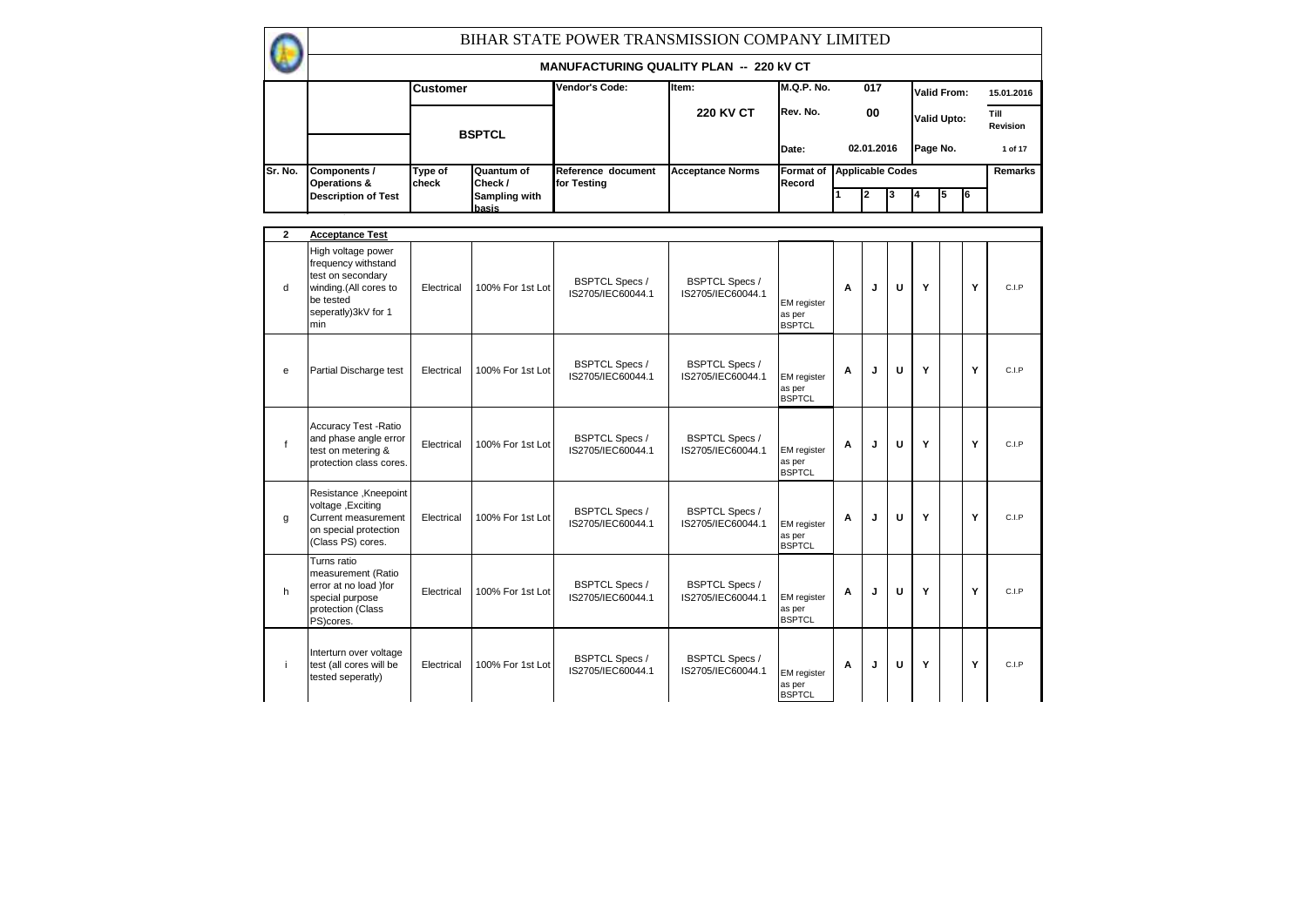|              |                                                                                                                                    |                  |                        | BIHAR STATE POWER TRANSMISSION COMPANY LIMITED |                                            |                                               |                         |            |   |          |                    |    |                  |
|--------------|------------------------------------------------------------------------------------------------------------------------------------|------------------|------------------------|------------------------------------------------|--------------------------------------------|-----------------------------------------------|-------------------------|------------|---|----------|--------------------|----|------------------|
|              |                                                                                                                                    |                  |                        | <b>MANUFACTURING QUALITY PLAN -- 220 KV CT</b> |                                            |                                               |                         |            |   |          |                    |    |                  |
|              |                                                                                                                                    | <b>Customer</b>  |                        | Vendor's Code:                                 | Item:                                      | <b>M.Q.P. No.</b>                             |                         | 017        |   |          | Valid From:        |    | 15.01.2016       |
|              |                                                                                                                                    |                  | <b>BSPTCL</b>          |                                                | <b>220 KV CT</b>                           | Rev. No.                                      |                         | 00         |   |          | <b>Valid Upto:</b> |    | Till<br>Revision |
|              |                                                                                                                                    |                  |                        |                                                |                                            | Date:                                         |                         | 02.01.2016 |   | Page No. |                    |    | 1 of 17          |
| Sr. No.      | Components /<br>Operations &                                                                                                       | Type of<br>check | Quantum of<br>Check/   | Reference document<br>for Testing              | <b>Acceptance Norms</b>                    | <b>Format of</b><br>Record                    | <b>Applicable Codes</b> |            |   |          |                    |    | Remarks          |
|              | <b>Description of Test</b>                                                                                                         |                  | Sampling with<br>basis |                                                |                                            |                                               | 1                       | 2          | 3 |          | 5                  | I6 |                  |
| $\mathbf{2}$ | <b>Acceptance Test</b>                                                                                                             |                  |                        |                                                |                                            |                                               |                         |            |   |          |                    |    |                  |
| d            | High voltage power<br>frequency withstand<br>test on secondary<br>winding.(All cores to<br>be tested<br>seperatly)3kV for 1<br>min | Electrical       | 100% For 1st Lot       | <b>BSPTCL Specs /</b><br>IS2705/IEC60044.1     | <b>BSPTCL Specs /</b><br>IS2705/IEC60044.1 | <b>EM</b> register<br>as per<br><b>BSPTCL</b> | A                       | J          | U | Y        |                    | Y  | C.I.P            |
| e            | Partial Discharge test                                                                                                             | Electrical       | 100% For 1st Lot       | <b>BSPTCL Specs /</b><br>IS2705/IEC60044.1     | <b>BSPTCL Specs /</b><br>IS2705/IEC60044.1 | <b>EM</b> register<br>as per<br><b>BSPTCL</b> | A                       | J          | U | Y        |                    | Y  | C.I.P            |
| $\mathsf{f}$ | Accuracy Test - Ratio<br>and phase angle error<br>test on metering &<br>protection class cores.                                    | Electrical       | 100% For 1st Lot       | <b>BSPTCL Specs /</b><br>IS2705/IEC60044.1     | <b>BSPTCL Specs /</b><br>IS2705/IEC60044.1 | <b>EM</b> register<br>as per<br><b>BSPTCL</b> | A                       | J          | U | Y        |                    | Y  | C.I.P            |
| g            | Resistance, Kneepoint<br>voltage, Exciting<br>Current measurement<br>on special protection<br>(Class PS) cores.                    | Electrical       | 100% For 1st Lot       | <b>BSPTCL Specs /</b><br>IS2705/IEC60044.1     | <b>BSPTCL Specs /</b><br>IS2705/IEC60044.1 | <b>EM</b> register<br>as per<br><b>BSPTCL</b> | Α                       | J          | U | Y        |                    | Y  | C.I.P            |
| h            | Turns ratio<br>measurement (Ratio<br>error at no load )for<br>special purpose<br>protection (Class<br>PS)cores.                    | Electrical       | 100% For 1st Lot       | <b>BSPTCL Specs /</b><br>IS2705/IEC60044.1     | <b>BSPTCL Specs /</b><br>IS2705/IEC60044.1 | EM register<br>as per<br><b>BSPTCL</b>        | A                       | J          | U | Y        |                    | Y  | C.I.P            |
| j.           | Interturn over voltage<br>test (all cores will be<br>tested seperatly)                                                             | Electrical       | 100% For 1st Lot       | <b>BSPTCL Specs /</b><br>IS2705/IEC60044.1     | <b>BSPTCL Specs /</b><br>IS2705/IEC60044.1 | EM register<br>as per<br><b>BSPTCL</b>        | A                       | J          | U | Y        |                    | Y  | C.I.P            |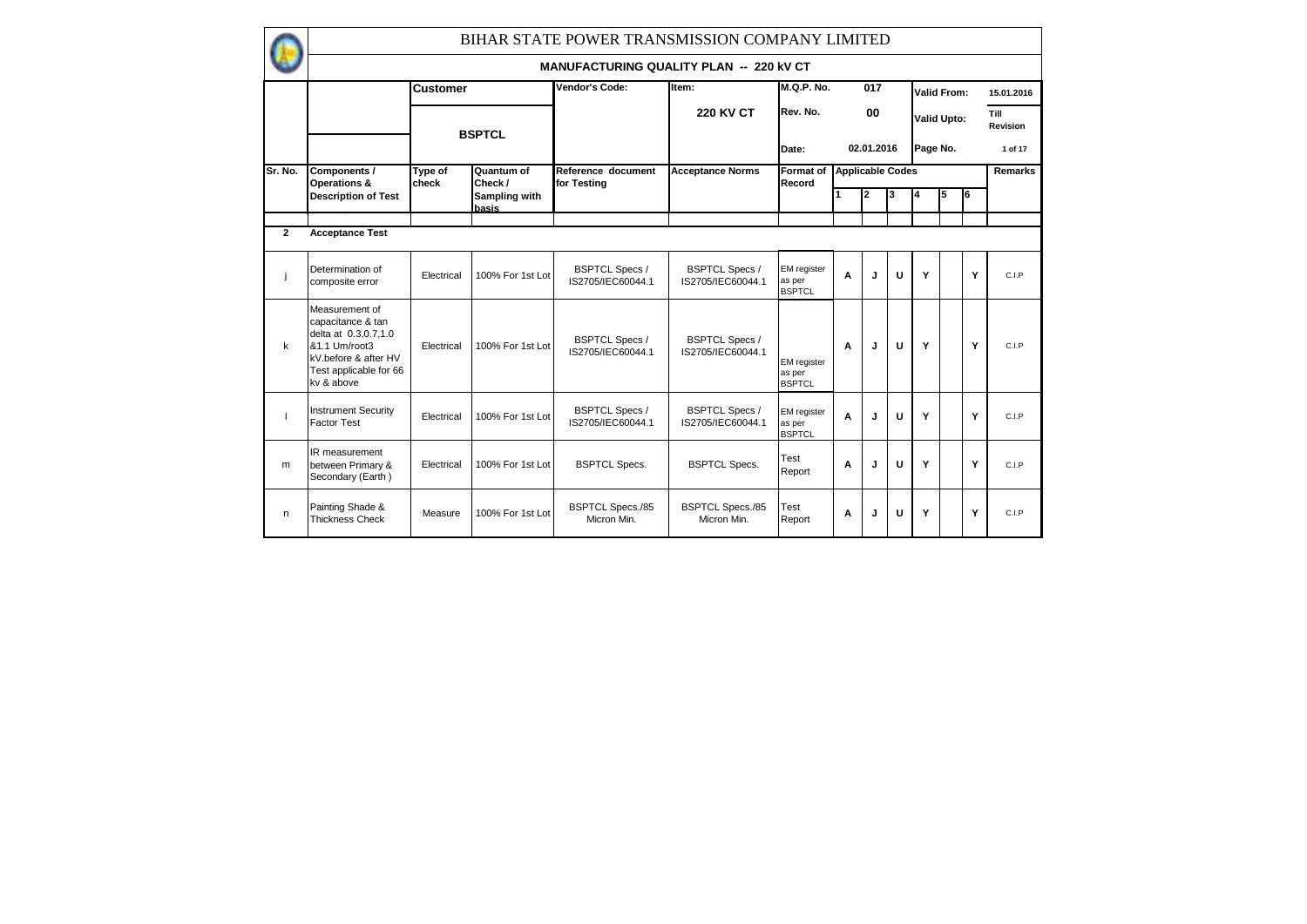|                | BIHAR STATE POWER TRANSMISSION COMPANY LIMITED                                                                                               |                  |                               |                                                |                                            |                                               |                         |            |   |          |                    |    |                  |
|----------------|----------------------------------------------------------------------------------------------------------------------------------------------|------------------|-------------------------------|------------------------------------------------|--------------------------------------------|-----------------------------------------------|-------------------------|------------|---|----------|--------------------|----|------------------|
|                |                                                                                                                                              |                  |                               | <b>MANUFACTURING QUALITY PLAN -- 220 KV CT</b> |                                            |                                               |                         |            |   |          |                    |    |                  |
|                |                                                                                                                                              | <b>Customer</b>  |                               | Vendor's Code:                                 | Item:                                      | <b>M.Q.P. No.</b>                             |                         | 017        |   |          | <b>Valid From:</b> |    | 15.01.2016       |
|                |                                                                                                                                              |                  | <b>BSPTCL</b>                 |                                                | <b>220 KV CT</b>                           | Rev. No.                                      |                         | 00         |   |          | <b>Valid Upto:</b> |    | Till<br>Revision |
|                |                                                                                                                                              |                  |                               |                                                |                                            | Date:                                         |                         | 02.01.2016 |   | Page No. |                    |    | 1 of 17          |
| Sr. No.        | Components /<br>Operations &                                                                                                                 | Type of<br>check | Quantum of<br>Check /         | Reference document<br>for Testing              | <b>Acceptance Norms</b>                    | <b>Format of</b><br>Record                    | <b>Applicable Codes</b> |            |   |          |                    |    | Remarks          |
|                | <b>Description of Test</b>                                                                                                                   |                  | <b>Sampling with</b><br>basis |                                                |                                            |                                               |                         | 2          | 3 | 14       | 5                  | l6 |                  |
|                |                                                                                                                                              |                  |                               |                                                |                                            |                                               |                         |            |   |          |                    |    |                  |
| $\overline{2}$ | <b>Acceptance Test</b>                                                                                                                       |                  |                               |                                                |                                            |                                               |                         |            |   |          |                    |    |                  |
|                | Determination of<br>composite error                                                                                                          | Electrical       | 100% For 1st Lot              | <b>BSPTCL Specs /</b><br>IS2705/IEC60044.1     | <b>BSPTCL Specs /</b><br>IS2705/IEC60044.1 | <b>EM</b> register<br>as per<br><b>BSPTCL</b> | A                       | J          | U | Y        |                    | Y  | C.I.P            |
| k              | Measurement of<br>capacitance & tan<br>delta at 0.3,0.7,1.0<br>&1.1 Um/root3<br>kV.before & after HV<br>Test applicable for 66<br>kv & above | Electrical       | 100% For 1st Lot              | <b>BSPTCL Specs /</b><br>IS2705/IEC60044.1     | <b>BSPTCL Specs /</b><br>IS2705/IEC60044.1 | <b>EM</b> register<br>as per<br><b>BSPTCL</b> | A                       | J          | U | Y        |                    | Y  | C.I.P            |
| $\overline{1}$ | <b>Instrument Security</b><br><b>Factor Test</b>                                                                                             | Electrical       | 100% For 1st Lot              | <b>BSPTCL Specs /</b><br>IS2705/IEC60044.1     | <b>BSPTCL Specs /</b><br>IS2705/IEC60044.1 | <b>EM</b> register<br>as per<br><b>BSPTCL</b> | A                       | J          | U | Y        |                    | Y  | C.I.P            |
| m              | IR measurement<br>between Primary &<br>Secondary (Earth)                                                                                     | Electrical       | 100% For 1st Lot              | <b>BSPTCL Specs.</b>                           | <b>BSPTCL Specs.</b>                       | Test<br>Report                                | A                       | J          | U | Y        |                    | Y  | C.I.P            |
| $\mathsf{n}$   | Painting Shade &<br><b>Thickness Check</b>                                                                                                   | Measure          | 100% For 1st Lot              | <b>BSPTCL Specs./85</b><br>Micron Min.         | <b>BSPTCL Specs./85</b><br>Micron Min.     | Test<br>Report                                | A                       | J          | U | Y        |                    | Y  | C.I.P            |